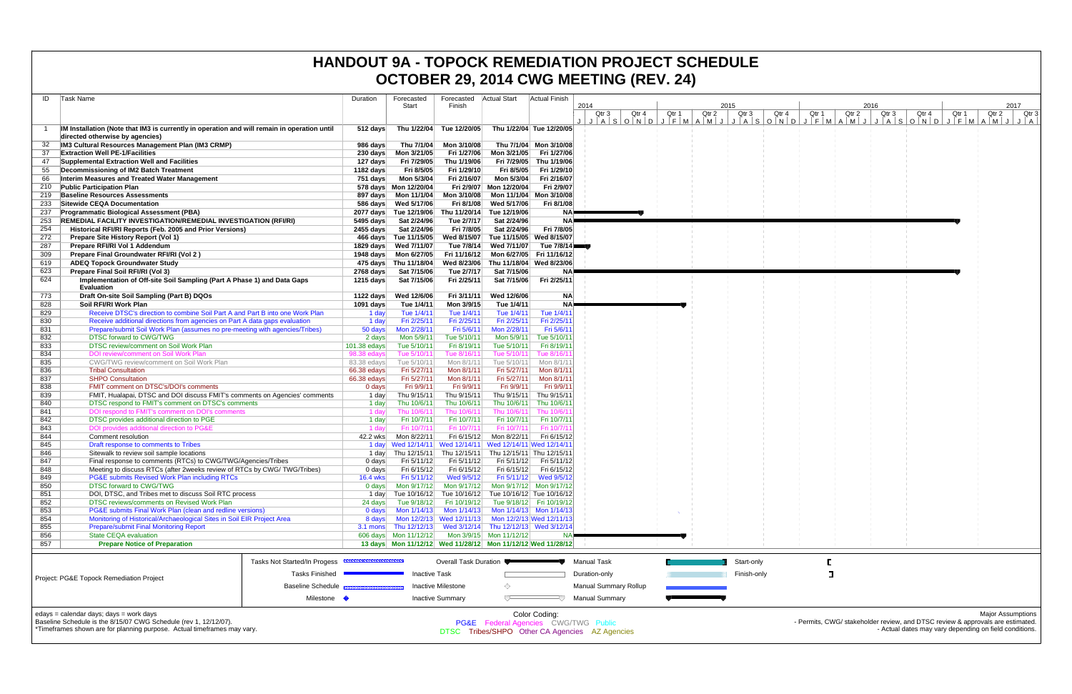|            |                                                                                                                                                                                                                                                                                                                                                                                                                                                                           |                            |                            |                            |                                                                                                               |                           | OCTOBER 29, 2014 CWG MEETING (REV. 24) |       |       |       |             |       |       |       |       |       |       |       |       |
|------------|---------------------------------------------------------------------------------------------------------------------------------------------------------------------------------------------------------------------------------------------------------------------------------------------------------------------------------------------------------------------------------------------------------------------------------------------------------------------------|----------------------------|----------------------------|----------------------------|---------------------------------------------------------------------------------------------------------------|---------------------------|----------------------------------------|-------|-------|-------|-------------|-------|-------|-------|-------|-------|-------|-------|-------|
| ID         | Task Name                                                                                                                                                                                                                                                                                                                                                                                                                                                                 | Duration                   | Forecasted<br>Start        | Finish                     | Forecasted Actual Start                                                                                       | <b>Actual Finish</b>      | 2014                                   |       |       |       | 2015        |       |       |       | 2016  |       |       |       | 2017  |
|            | IM Installation (Note that IM3 is currently in operation and will remain in operation until                                                                                                                                                                                                                                                                                                                                                                               | $512$ days                 | Thu 1/22/04                | Tue 12/20/05               |                                                                                                               | Thu 1/22/04 Tue 12/20/05  | Qtr <sub>3</sub>                       | Qtr 4 | Qtr 1 | Qtr 2 | Qtr 3       | Qtr 4 | Qtr 1 | Qtr 2 | Qtr 3 | Qtr 4 | Qtr 1 | Qtr 2 | Qtr 3 |
|            | directed otherwise by agencies)<br>IM3 Cultural Resources Management Plan (IM3 CRMP)                                                                                                                                                                                                                                                                                                                                                                                      | 986 days                   | Thu 7/1/04                 | Mon 3/10/08                |                                                                                                               | Thu 7/1/04 Mon 3/10/08    |                                        |       |       |       |             |       |       |       |       |       |       |       |       |
| 37         | <b>Extraction Well PE-1/Facilities</b>                                                                                                                                                                                                                                                                                                                                                                                                                                    | 230 days                   | Mon 3/21/05                | Fri 1/27/06                | Mon 3/21/05                                                                                                   | Fri 1/27/06               |                                        |       |       |       |             |       |       |       |       |       |       |       |       |
| 47         | Supplemental Extraction Well and Facilities                                                                                                                                                                                                                                                                                                                                                                                                                               | 127 days                   | Fri 7/29/05                | Thu 1/19/06                | Fri 7/29/05                                                                                                   | Thu 1/19/06               |                                        |       |       |       |             |       |       |       |       |       |       |       |       |
| 55         | Decommissioning of IM2 Batch Treatment                                                                                                                                                                                                                                                                                                                                                                                                                                    | 1182 days                  | Fri 8/5/05                 | Fri 1/29/10                | Fri 8/5/05                                                                                                    | Fri 1/29/10               |                                        |       |       |       |             |       |       |       |       |       |       |       |       |
| 66         | Interim Measures and Treated Water Management                                                                                                                                                                                                                                                                                                                                                                                                                             | 751 days                   | Mon 5/3/04                 | Fri 2/16/07                | Mon 5/3/04                                                                                                    | Fri 2/16/07               |                                        |       |       |       |             |       |       |       |       |       |       |       |       |
| 210<br>219 | <b>Public Participation Plan</b><br><b>Baseline Resources Assessments</b>                                                                                                                                                                                                                                                                                                                                                                                                 |                            | 578 days  Mon 12/20/04     |                            | Fri 2/9/07 Mon 12/20/04<br>Mon 3/10/08 Mon 11/1/04                                                            | Fri 2/9/07<br>Mon 3/10/08 |                                        |       |       |       |             |       |       |       |       |       |       |       |       |
| 233        | <b>Sitewide CEQA Documentation</b>                                                                                                                                                                                                                                                                                                                                                                                                                                        |                            | 586 days Wed 5/17/06       | Fri 8/1/08                 | Wed 5/17/06                                                                                                   | Fri 8/1/08                |                                        |       |       |       |             |       |       |       |       |       |       |       |       |
| 237        | <b>Programmatic Biological Assessment (PBA)</b>                                                                                                                                                                                                                                                                                                                                                                                                                           |                            | 2077 days Tue 12/19/06     |                            | Thu 11/20/14 Tue 12/19/06                                                                                     |                           |                                        |       |       |       |             |       |       |       |       |       |       |       |       |
| 253        | <b>REMEDIAL FACILITY INVESTIGATION/REMEDIAL INVESTIGATION (RFI/RI)</b>                                                                                                                                                                                                                                                                                                                                                                                                    | 5495 days                  | Sat 2/24/96                | Tue 2/7/17                 | Sat 2/24/96                                                                                                   | <b>NA</b>                 |                                        |       |       |       |             |       |       |       |       |       |       |       |       |
| 254        | Historical RFI/RI Reports (Feb. 2005 and Prior Versions)                                                                                                                                                                                                                                                                                                                                                                                                                  |                            | 2455 days Sat 2/24/96      | Fri 7/8/05                 | Sat 2/24/96                                                                                                   | Fri 7/8/05                |                                        |       |       |       |             |       |       |       |       |       |       |       |       |
| 272<br>287 | Prepare Site History Report (Vol 1)<br>Prepare RFI/RI Vol 1 Addendum                                                                                                                                                                                                                                                                                                                                                                                                      |                            | 466 days Tue 11/15/05      |                            | Wed 8/15/07 Tue 11/15/05 Wed 8/15/07<br>Tue 7/8/14 Wed 7/11/07                                                | Tue 7/8/14                |                                        |       |       |       |             |       |       |       |       |       |       |       |       |
| 309        | Prepare Final Groundwater RFI/RI (Vol 2)                                                                                                                                                                                                                                                                                                                                                                                                                                  |                            | 1948 days    Mon 6/27/05   |                            | Fri 11/16/12 Mon 6/27/05 Fri 11/16/12                                                                         |                           |                                        |       |       |       |             |       |       |       |       |       |       |       |       |
| 619        | <b>ADEQ Topock Groundwater Study</b>                                                                                                                                                                                                                                                                                                                                                                                                                                      |                            | 475 days Thu 11/18/04      |                            | Wed 8/23/06 Thu 11/18/04 Wed 8/23/06                                                                          |                           |                                        |       |       |       |             |       |       |       |       |       |       |       |       |
| 623        | Prepare Final Soil RFI/RI (Vol 3)                                                                                                                                                                                                                                                                                                                                                                                                                                         | 2768 days                  | Sat 7/15/06                | Tue 2/7/17                 | Sat 7/15/06                                                                                                   | <b>NA</b>                 |                                        |       |       |       |             |       |       |       |       |       |       |       |       |
| 624        | Implementation of Off-site Soil Sampling (Part A Phase 1) and Data Gaps<br><b>Evaluation</b>                                                                                                                                                                                                                                                                                                                                                                              | 1215 days                  | Sat 7/15/06                | Fri 2/25/11                | Sat 7/15/06                                                                                                   | Fri 2/25/11               |                                        |       |       |       |             |       |       |       |       |       |       |       |       |
| 773        | Draft On-site Soil Sampling (Part B) DQOs                                                                                                                                                                                                                                                                                                                                                                                                                                 | 1122 days                  | Wed 12/6/06                | Fri 3/11/11                | Wed 12/6/06                                                                                                   | NA                        |                                        |       |       |       |             |       |       |       |       |       |       |       |       |
| 828<br>829 | Soil RFI/RI Work Plan<br>Receive DTSC's direction to combine Soil Part A and Part B into one Work Plan                                                                                                                                                                                                                                                                                                                                                                    | 1091 days<br>1 day         | Tue 1/4/11<br>Tue 1/4/11   | Mon 3/9/15<br>Tue 1/4/11   | Tue 1/4/11<br>Tue 1/4/11                                                                                      | <b>NA</b><br>Tue 1/4/1    |                                        |       |       |       |             |       |       |       |       |       |       |       |       |
| 830        | Receive additional directions from agencies on Part A data gaps evaluation                                                                                                                                                                                                                                                                                                                                                                                                | 1 day                      | Fri 2/25/11                | Fri 2/25/11                | Fri 2/25/11                                                                                                   | Fri 2/25/1                |                                        |       |       |       |             |       |       |       |       |       |       |       |       |
| 831        | Prepare/submit Soil Work Plan (assumes no pre-meeting with agencies/Tribes)                                                                                                                                                                                                                                                                                                                                                                                               | 50 days                    | Mon 2/28/11                | Fri 5/6/11                 | Mon 2/28/11                                                                                                   | Fri 5/6/1                 |                                        |       |       |       |             |       |       |       |       |       |       |       |       |
| 832        | <b>DTSC forward to CWG/TWG</b>                                                                                                                                                                                                                                                                                                                                                                                                                                            | 2 days                     | Mon 5/9/11                 | Tue 5/10/11                | Mon 5/9/11                                                                                                    | Tue 5/10/1                |                                        |       |       |       |             |       |       |       |       |       |       |       |       |
| 833        | DTSC review/comment on Soil Work Plan                                                                                                                                                                                                                                                                                                                                                                                                                                     | 101.38 edays               | Tue 5/10/11                | Fri 8/19/11                | Tue 5/10/11                                                                                                   | Fri 8/19/1                |                                        |       |       |       |             |       |       |       |       |       |       |       |       |
| 834<br>835 | DOI review/comment on Soil Work Plar<br>CWG/TWG review/comment on Soil Work Plan                                                                                                                                                                                                                                                                                                                                                                                          | 98.38 edays<br>83.38 edays | Tue 5/10/11<br>Tue 5/10/11 | Tue 8/16/1<br>Mon 8/1/11   | Tue 5/10/11<br>Tue 5/10/11                                                                                    | Tue 8/16/<br>Mon 8/1/1    |                                        |       |       |       |             |       |       |       |       |       |       |       |       |
| 836        | <b>Tribal Consultation</b>                                                                                                                                                                                                                                                                                                                                                                                                                                                | 66.38 edays                | Fri 5/27/11                | Mon 8/1/11                 | Fri 5/27/11                                                                                                   | Mon 8/1/1                 |                                        |       |       |       |             |       |       |       |       |       |       |       |       |
| 837        | <b>SHPO Consultation</b>                                                                                                                                                                                                                                                                                                                                                                                                                                                  | 66.38 edays                | Fri 5/27/11                | Mon 8/1/11                 | Fri 5/27/11                                                                                                   | Mon 8/1/1                 |                                        |       |       |       |             |       |       |       |       |       |       |       |       |
| 838        | <b>FMIT comment on DTSC's/DOI's comments</b>                                                                                                                                                                                                                                                                                                                                                                                                                              | $0$ days                   | Fri 9/9/11                 | Fri 9/9/11                 | Fri 9/9/11                                                                                                    | Fri 9/9/1                 |                                        |       |       |       |             |       |       |       |       |       |       |       |       |
| 839        | FMIT, Hualapai, DTSC and DOI discuss FMIT's comments on Agencies' comments                                                                                                                                                                                                                                                                                                                                                                                                | 1 day                      | Thu 9/15/11                | Thu 9/15/11                | Thu 9/15/11                                                                                                   | Thu 9/15/1                |                                        |       |       |       |             |       |       |       |       |       |       |       |       |
| 840        | DTSC respond to FMIT's comment on DTSC's comments                                                                                                                                                                                                                                                                                                                                                                                                                         | 1 day                      | Thu 10/6/11                | Thu 10/6/11                | Thu 10/6/11                                                                                                   | Thu 10/6/1                |                                        |       |       |       |             |       |       |       |       |       |       |       |       |
| 841<br>842 | DOI respond to FMIT's comment on DOI's comments<br>DTSC provides additional direction to PGE                                                                                                                                                                                                                                                                                                                                                                              | 1 day<br>1 day             | Thu 10/6/11<br>Fri 10/7/11 | Thu 10/6/11<br>Fri 10/7/11 | Thu 10/6/11<br>Fri 10/7/11                                                                                    | Thu 10/6/<br>Fri 10/7/1   |                                        |       |       |       |             |       |       |       |       |       |       |       |       |
| 843        | DOI provides additional direction to PG&E                                                                                                                                                                                                                                                                                                                                                                                                                                 | 1 dav                      | Fri 10/7/11                | Fri 10/7/11                | Fri 10/7/11                                                                                                   | Fri 10/7/                 |                                        |       |       |       |             |       |       |       |       |       |       |       |       |
| 844        | Comment resolution                                                                                                                                                                                                                                                                                                                                                                                                                                                        | 42.2 wks                   | Mon 8/22/11                |                            | Fri 6/15/12 Mon 8/22/11                                                                                       | Fri 6/15/12               |                                        |       |       |       |             |       |       |       |       |       |       |       |       |
| 845        | Draft response to comments to Tribes                                                                                                                                                                                                                                                                                                                                                                                                                                      |                            |                            |                            | 1 day Wed 12/14/11 Wed 12/14/11 Wed 12/14/11 Wed 12/14/1                                                      |                           |                                        |       |       |       |             |       |       |       |       |       |       |       |       |
| 846        | Sitewalk to review soil sample locations                                                                                                                                                                                                                                                                                                                                                                                                                                  |                            |                            |                            | 1 day Thu 12/15/11 Thu 12/15/11 Thu 12/15/11 Thu 12/15/1                                                      |                           |                                        |       |       |       |             |       |       |       |       |       |       |       |       |
| 847<br>848 | Final response to comments (RTCs) to CWG/TWG/Agencies/Tribes<br>Meeting to discuss RTCs (after 2weeks review of RTCs by CWG/TWG/Tribes)                                                                                                                                                                                                                                                                                                                                   | 0 days<br>$0$ days         | Fri 5/11/12<br>Fri 6/15/12 | Fri 6/15/12                | Fri 5/11/12    Fri 5/11/12    Fri 5/11/12                                                                     | Fri 6/15/12   Fri 6/15/12 |                                        |       |       |       |             |       |       |       |       |       |       |       |       |
| 849        | PG&E submits Revised Work Plan including RTCs                                                                                                                                                                                                                                                                                                                                                                                                                             | <b>16.4 wks</b>            | Fri 5/11/12                | Wed 9/5/12                 |                                                                                                               | Fri 5/11/12 Wed 9/5/12    |                                        |       |       |       |             |       |       |       |       |       |       |       |       |
| 850        | <b>DTSC forward to CWG/TWG</b>                                                                                                                                                                                                                                                                                                                                                                                                                                            |                            |                            |                            | 0 days   Mon 9/17/12   Mon 9/17/12   Mon 9/17/12   Mon 9/17/12                                                |                           |                                        |       |       |       |             |       |       |       |       |       |       |       |       |
| 851        | DOI, DTSC, and Tribes met to discuss Soil RTC process                                                                                                                                                                                                                                                                                                                                                                                                                     |                            |                            |                            | 1 day Tue 10/16/12 Tue 10/16/12 Tue 10/16/12 Tue 10/16/12                                                     |                           |                                        |       |       |       |             |       |       |       |       |       |       |       |       |
| 852        | DTSC reviews/comments on Revised Work Plan                                                                                                                                                                                                                                                                                                                                                                                                                                | 24 days                    | Tue 9/18/12                |                            | Fri 10/19/12 Tue 9/18/12 Fri 10/19/12                                                                         |                           |                                        |       |       |       |             |       |       |       |       |       |       |       |       |
| 853<br>854 | PG&E submits Final Work Plan (clean and redline versions)<br>Monitoring of Historical/Archaeological Sites in Soil EIR Project Area                                                                                                                                                                                                                                                                                                                                       | 0 days<br>8 days           |                            |                            | Mon 1/14/13    Mon 1/14/13    Mon 1/14/13    Mon 1/14/13<br>Mon 12/2/13 Wed 12/11/13 Mon 12/2/13 Wed 12/11/13 |                           |                                        |       |       |       |             |       |       |       |       |       |       |       |       |
| 855        | <b>Prepare/submit Final Monitoring Report</b>                                                                                                                                                                                                                                                                                                                                                                                                                             |                            |                            |                            | 3.1 mons Thu 12/12/13 Wed 3/12/14 Thu 12/12/13 Wed 3/12/14                                                    |                           |                                        |       |       |       |             |       |       |       |       |       |       |       |       |
| 856        | <b>State CEQA evaluation</b>                                                                                                                                                                                                                                                                                                                                                                                                                                              |                            | 606 days Mon 11/12/12      |                            | Mon 3/9/15 Mon 11/12/12                                                                                       |                           |                                        |       |       |       |             |       |       |       |       |       |       |       |       |
| 857        | <b>Prepare Notice of Preparation</b>                                                                                                                                                                                                                                                                                                                                                                                                                                      |                            |                            |                            | 13 days  Mon 11/12/12  Wed 11/28/12  Mon 11/12/12  Wed 11/28/12                                               |                           |                                        |       |       |       |             |       |       |       |       |       |       |       |       |
|            | Tasks Not Started/In Progess                                                                                                                                                                                                                                                                                                                                                                                                                                              |                            |                            | Overall Task Duration      |                                                                                                               |                           | <b>Manual Task</b>                     |       |       |       | Start-only  |       |       |       |       |       |       |       |       |
|            | <b>Tasks Finished</b><br>Project: PG&E Topock Remediation Project                                                                                                                                                                                                                                                                                                                                                                                                         |                            | Inactive Task              |                            |                                                                                                               |                           | Duration-only                          |       |       |       | Finish-only |       |       |       |       |       |       |       |       |
|            | <b>Baseline Schedule</b>                                                                                                                                                                                                                                                                                                                                                                                                                                                  |                            |                            | <b>Inactive Milestone</b>  | ◇                                                                                                             |                           | <b>Manual Summary Rollup</b>           |       |       |       |             |       |       |       |       |       |       |       |       |
|            | Milestone •                                                                                                                                                                                                                                                                                                                                                                                                                                                               |                            |                            | <b>Inactive Summary</b>    | $\overline{ }$                                                                                                | 一〇                        | <b>Manual Summary</b>                  |       |       |       |             |       |       |       |       |       |       |       |       |
|            | edays = calendar days; days = work days<br><b>Major Assumptions</b><br>Color Coding:<br>Baseline Schedule is the 8/15/07 CWG Schedule (rev 1, 12/12/07).<br>- Permits, CWG/ stakeholder review, and DTSC review & approvals are estimated.<br>PG&E Federal Agencies CWG/TWG Public<br>*Timeframes shown are for planning purpose. Actual timeframes may vary.<br>- Actual dates may vary depending on field conditions.<br>DTSC Tribes/SHPO Other CA Agencies AZ Agencies |                            |                            |                            |                                                                                                               |                           |                                        |       |       |       |             |       |       |       |       |       |       |       |       |

|                                          | mmmmmm<br>Tasks Not Started/In Progess | Overall Task Duration                            | Manual Task           | Start-only  |
|------------------------------------------|----------------------------------------|--------------------------------------------------|-----------------------|-------------|
| Project: PG&E Topock Remediation Project | <b>Tasks Finished</b>                  | <b>Inactive Task</b>                             | Duration-only         | Finish-only |
|                                          | Baseline Schedule Bassessessessesses   | Inactive Milestone                               | Manual Summary Rollup |             |
|                                          | Milestone <                            | <b>Manual Summary</b><br><b>Inactive Summary</b> |                       |             |
| adays — calendar days: days — work days  |                                        | Color Codina:                                    |                       |             |

### **HANDOUT 9A - TOPOCK REMEDIATION PROJECT SCHEDULE OCTOBER 29, 2014 CWG MEETING (REV. 24)**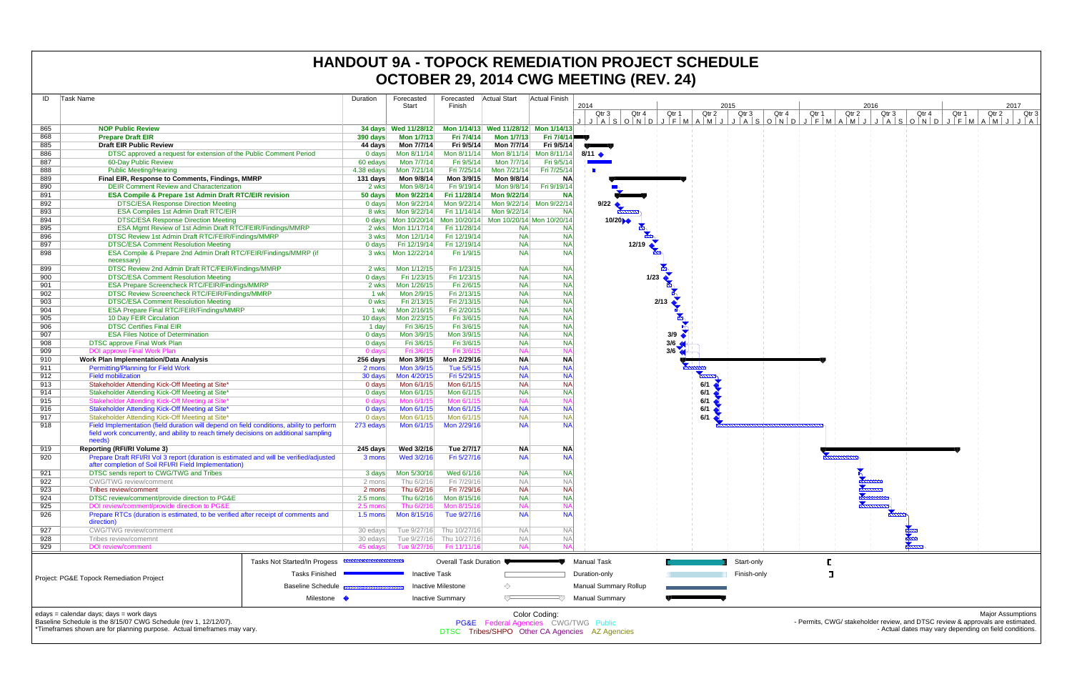| 865<br>868<br>885<br>886<br>887<br>888<br>889<br>890<br>891<br>892<br>893<br>894<br>895<br>896<br>897<br>898<br>899<br>900<br>901<br>902<br>903<br>904<br>905<br>906<br>907<br>908<br>909<br>910<br>911<br>912<br>913<br>914<br>915<br>916<br>917<br>918<br>919<br>920<br>921<br>922 | <b>NOP Public Review</b><br><b>Prepare Draft EIR</b><br><b>Draft EIR Public Review</b><br>DTSC approved a request for extension of the Public Comment Period<br>60-Day Public Review<br><b>Public Meeting/Hearing</b><br>Final EIR, Response to Comments, Findings, MMRP<br><b>DEIR Comment Review and Characterization</b><br><b>ESA Compile &amp; Prepare 1st Admin Draft RTC/EIR revision</b><br><b>DTSC/ESA Response Direction Meeting</b><br>ESA Compiles 1st Admin Draft RTC/EIR<br><b>DTSC/ESA Response Direction Meeting</b><br>ESA Mgmt Review of 1st Admin Draft RTC/FEIR/Findings/MMRP<br>DTSC Review 1st Admin Draft RTC/FEIR/Findings/MMRP<br><b>DTSC/ESA Comment Resolution Meeting</b><br>ESA Compile & Prepare 2nd Admin Draft RTC/FEIR/Findings/MMRP (if<br>necessary)<br>DTSC Review 2nd Admin Draft RTC/FEIR/Findings/MMRP<br><b>DTSC/ESA Comment Resolution Meeting</b><br>ESA Prepare Screencheck RTC/FEIR/Findings/MMRP<br>DTSC Review Screencheck RTC/FEIR/Findings/MMRP<br><b>DTSC/ESA Comment Resolution Meeting</b><br><b>ESA Prepare Final RTC/FEIR/Findings/MMRP</b><br>10 Day FEIR Circulation<br><b>DTSC Certifies Final EIR</b><br><b>ESA Files Notice of Determination</b><br><b>DTSC approve Final Work Plan</b><br><b>DOI approve Final Work Plan</b><br>Work Plan Implementation/Data Analysis<br><b>Permitting/Planning for Field Work</b><br><b>Field mobilization</b> |                              | 390 days<br>44 days<br>$0$ days<br>60 edays<br>4.38 edays<br>131 days<br>2 wks<br>50 days<br>$0$ days<br>8 wks<br>3 wks<br>$0$ days<br>2 wks<br>$0$ days<br>2 wks<br>1 wk<br>0 wks<br>1 wk<br>10 days<br>1 day<br>$0$ days<br>$0$ days<br>0 days<br>256 days | Start<br>34 days  Wed 11/28/12<br><b>Mon 1/7/13</b><br>Mon 7/7/14<br>Mon 8/11/14<br>Mon 7/7/14<br>Mon 7/21/14<br>Mon 9/8/14<br>Mon 9/8/14<br>Mon 9/22/14<br>Mon 9/22/14<br>Mon 9/22/14<br>0 days Mon 10/20/14<br>Mon 12/1/14<br>Fri 12/19/14<br>Mon 1/12/15<br>Fri 1/23/15<br>Mon 1/26/15<br>Mon 2/9/15<br>Fri 2/13/15<br>Mon 2/16/15<br>Mon 2/23/15<br>Fri 3/6/15<br>Mon 3/9/15<br>Fri 3/6/15<br>Fri 3/6/15 | Finish<br>Fri 7/4/14<br>Fri 9/5/14<br>Mon 8/11/14<br>Fri 9/5/14<br>Fri 7/25/14<br>Mon 3/9/15<br>Fri 9/19/14<br>Fri 11/28/14<br>Mon 9/22/14<br>Fri 11/14/14<br>Fri 11/28/14<br>Fri 12/19/14<br>Fri 12/19/14<br>Fri 1/9/15<br>Fri 1/23/15<br>Fri 1/23/15<br>Fri 2/6/15<br>Fri 2/13/15<br>Fri 2/13/15<br>Fri 2/20/15<br>Fri 3/6/15<br>Fri 3/6/15<br>Mon 3/9/15<br>Fri 3/6/15 | Mon 1/14/13 Wed 11/28/12 Mon 1/14/13<br><b>Mon 1/7/13</b><br>Mon 7/7/14<br>Mon 7/7/14<br>Mon 7/21/14<br>Mon 9/8/14<br>Mon 9/8/14<br>Mon 9/22/14<br>Mon 9/22/14<br>Mon 10/20/14 Mon 10/20/14 Mon 10/20/14<br><b>NA</b><br><b>NA</b><br><b>NA</b><br><b>NA</b><br><b>NA</b><br><b>NA</b><br><b>NA</b><br><b>NA</b><br><b>NA</b><br><b>NA</b><br><b>NA</b><br><b>NA</b><br><b>NA</b> | Fri 7/4/14<br>Fri 9/5/14<br>Mon 8/11/14 Mon 8/11/14<br>Fri 9/5/14<br>Fri 7/25/14<br><b>NA</b><br>Fri 9/19/14<br><b>NA</b><br>Mon 9/22/14 Mon 9/22/14<br><b>NA</b><br><b>NA</b><br><b>NA</b><br><b>NA</b><br><b>NA</b><br><b>NA</b><br><b>NA</b><br><b>NA</b><br><b>NA</b><br><b>NA</b><br><b>NA</b><br><b>NA</b><br><b>NA</b> | 2014<br>Qtr 3<br>$8/11$ $\bullet$<br>$\blacksquare$<br>9/22 | Qtr 4<br>$J   A   S   O   N   D   J   F   M   A   M   J  $<br>10/20<br>12/19 | 1/23<br>2/13 | Qtr 1 | Qtr 2 | 2015<br>Qtr 3<br>J   A   S   O   N | Qtr |
|--------------------------------------------------------------------------------------------------------------------------------------------------------------------------------------------------------------------------------------------------------------------------------------|-------------------------------------------------------------------------------------------------------------------------------------------------------------------------------------------------------------------------------------------------------------------------------------------------------------------------------------------------------------------------------------------------------------------------------------------------------------------------------------------------------------------------------------------------------------------------------------------------------------------------------------------------------------------------------------------------------------------------------------------------------------------------------------------------------------------------------------------------------------------------------------------------------------------------------------------------------------------------------------------------------------------------------------------------------------------------------------------------------------------------------------------------------------------------------------------------------------------------------------------------------------------------------------------------------------------------------------------------------------------------------------------------------------|------------------------------|--------------------------------------------------------------------------------------------------------------------------------------------------------------------------------------------------------------------------------------------------------------|--------------------------------------------------------------------------------------------------------------------------------------------------------------------------------------------------------------------------------------------------------------------------------------------------------------------------------------------------------------------------------------------------------------|---------------------------------------------------------------------------------------------------------------------------------------------------------------------------------------------------------------------------------------------------------------------------------------------------------------------------------------------------------------------------|-----------------------------------------------------------------------------------------------------------------------------------------------------------------------------------------------------------------------------------------------------------------------------------------------------------------------------------------------------------------------------------|-------------------------------------------------------------------------------------------------------------------------------------------------------------------------------------------------------------------------------------------------------------------------------------------------------------------------------|-------------------------------------------------------------|------------------------------------------------------------------------------|--------------|-------|-------|------------------------------------|-----|
|                                                                                                                                                                                                                                                                                      |                                                                                                                                                                                                                                                                                                                                                                                                                                                                                                                                                                                                                                                                                                                                                                                                                                                                                                                                                                                                                                                                                                                                                                                                                                                                                                                                                                                                             |                              |                                                                                                                                                                                                                                                              |                                                                                                                                                                                                                                                                                                                                                                                                              |                                                                                                                                                                                                                                                                                                                                                                           |                                                                                                                                                                                                                                                                                                                                                                                   |                                                                                                                                                                                                                                                                                                                               |                                                             |                                                                              |              |       |       |                                    |     |
|                                                                                                                                                                                                                                                                                      |                                                                                                                                                                                                                                                                                                                                                                                                                                                                                                                                                                                                                                                                                                                                                                                                                                                                                                                                                                                                                                                                                                                                                                                                                                                                                                                                                                                                             |                              |                                                                                                                                                                                                                                                              |                                                                                                                                                                                                                                                                                                                                                                                                              |                                                                                                                                                                                                                                                                                                                                                                           |                                                                                                                                                                                                                                                                                                                                                                                   |                                                                                                                                                                                                                                                                                                                               |                                                             |                                                                              |              |       |       |                                    |     |
|                                                                                                                                                                                                                                                                                      |                                                                                                                                                                                                                                                                                                                                                                                                                                                                                                                                                                                                                                                                                                                                                                                                                                                                                                                                                                                                                                                                                                                                                                                                                                                                                                                                                                                                             |                              |                                                                                                                                                                                                                                                              |                                                                                                                                                                                                                                                                                                                                                                                                              |                                                                                                                                                                                                                                                                                                                                                                           |                                                                                                                                                                                                                                                                                                                                                                                   |                                                                                                                                                                                                                                                                                                                               |                                                             |                                                                              |              |       |       |                                    |     |
|                                                                                                                                                                                                                                                                                      |                                                                                                                                                                                                                                                                                                                                                                                                                                                                                                                                                                                                                                                                                                                                                                                                                                                                                                                                                                                                                                                                                                                                                                                                                                                                                                                                                                                                             |                              |                                                                                                                                                                                                                                                              |                                                                                                                                                                                                                                                                                                                                                                                                              |                                                                                                                                                                                                                                                                                                                                                                           |                                                                                                                                                                                                                                                                                                                                                                                   |                                                                                                                                                                                                                                                                                                                               |                                                             |                                                                              |              |       |       |                                    |     |
|                                                                                                                                                                                                                                                                                      |                                                                                                                                                                                                                                                                                                                                                                                                                                                                                                                                                                                                                                                                                                                                                                                                                                                                                                                                                                                                                                                                                                                                                                                                                                                                                                                                                                                                             |                              |                                                                                                                                                                                                                                                              |                                                                                                                                                                                                                                                                                                                                                                                                              |                                                                                                                                                                                                                                                                                                                                                                           |                                                                                                                                                                                                                                                                                                                                                                                   |                                                                                                                                                                                                                                                                                                                               |                                                             |                                                                              |              |       |       |                                    |     |
|                                                                                                                                                                                                                                                                                      |                                                                                                                                                                                                                                                                                                                                                                                                                                                                                                                                                                                                                                                                                                                                                                                                                                                                                                                                                                                                                                                                                                                                                                                                                                                                                                                                                                                                             |                              |                                                                                                                                                                                                                                                              |                                                                                                                                                                                                                                                                                                                                                                                                              |                                                                                                                                                                                                                                                                                                                                                                           |                                                                                                                                                                                                                                                                                                                                                                                   |                                                                                                                                                                                                                                                                                                                               |                                                             |                                                                              |              |       |       |                                    |     |
|                                                                                                                                                                                                                                                                                      |                                                                                                                                                                                                                                                                                                                                                                                                                                                                                                                                                                                                                                                                                                                                                                                                                                                                                                                                                                                                                                                                                                                                                                                                                                                                                                                                                                                                             |                              |                                                                                                                                                                                                                                                              |                                                                                                                                                                                                                                                                                                                                                                                                              |                                                                                                                                                                                                                                                                                                                                                                           |                                                                                                                                                                                                                                                                                                                                                                                   |                                                                                                                                                                                                                                                                                                                               |                                                             |                                                                              |              |       |       |                                    |     |
|                                                                                                                                                                                                                                                                                      |                                                                                                                                                                                                                                                                                                                                                                                                                                                                                                                                                                                                                                                                                                                                                                                                                                                                                                                                                                                                                                                                                                                                                                                                                                                                                                                                                                                                             |                              |                                                                                                                                                                                                                                                              |                                                                                                                                                                                                                                                                                                                                                                                                              |                                                                                                                                                                                                                                                                                                                                                                           |                                                                                                                                                                                                                                                                                                                                                                                   |                                                                                                                                                                                                                                                                                                                               |                                                             |                                                                              |              |       |       |                                    |     |
|                                                                                                                                                                                                                                                                                      |                                                                                                                                                                                                                                                                                                                                                                                                                                                                                                                                                                                                                                                                                                                                                                                                                                                                                                                                                                                                                                                                                                                                                                                                                                                                                                                                                                                                             |                              |                                                                                                                                                                                                                                                              |                                                                                                                                                                                                                                                                                                                                                                                                              |                                                                                                                                                                                                                                                                                                                                                                           |                                                                                                                                                                                                                                                                                                                                                                                   |                                                                                                                                                                                                                                                                                                                               |                                                             |                                                                              |              |       |       |                                    |     |
|                                                                                                                                                                                                                                                                                      |                                                                                                                                                                                                                                                                                                                                                                                                                                                                                                                                                                                                                                                                                                                                                                                                                                                                                                                                                                                                                                                                                                                                                                                                                                                                                                                                                                                                             |                              |                                                                                                                                                                                                                                                              |                                                                                                                                                                                                                                                                                                                                                                                                              |                                                                                                                                                                                                                                                                                                                                                                           |                                                                                                                                                                                                                                                                                                                                                                                   |                                                                                                                                                                                                                                                                                                                               |                                                             |                                                                              |              |       |       |                                    |     |
|                                                                                                                                                                                                                                                                                      |                                                                                                                                                                                                                                                                                                                                                                                                                                                                                                                                                                                                                                                                                                                                                                                                                                                                                                                                                                                                                                                                                                                                                                                                                                                                                                                                                                                                             |                              |                                                                                                                                                                                                                                                              |                                                                                                                                                                                                                                                                                                                                                                                                              |                                                                                                                                                                                                                                                                                                                                                                           |                                                                                                                                                                                                                                                                                                                                                                                   |                                                                                                                                                                                                                                                                                                                               |                                                             |                                                                              |              |       |       |                                    |     |
|                                                                                                                                                                                                                                                                                      |                                                                                                                                                                                                                                                                                                                                                                                                                                                                                                                                                                                                                                                                                                                                                                                                                                                                                                                                                                                                                                                                                                                                                                                                                                                                                                                                                                                                             |                              |                                                                                                                                                                                                                                                              |                                                                                                                                                                                                                                                                                                                                                                                                              |                                                                                                                                                                                                                                                                                                                                                                           |                                                                                                                                                                                                                                                                                                                                                                                   |                                                                                                                                                                                                                                                                                                                               |                                                             |                                                                              |              |       |       |                                    |     |
|                                                                                                                                                                                                                                                                                      |                                                                                                                                                                                                                                                                                                                                                                                                                                                                                                                                                                                                                                                                                                                                                                                                                                                                                                                                                                                                                                                                                                                                                                                                                                                                                                                                                                                                             |                              |                                                                                                                                                                                                                                                              |                                                                                                                                                                                                                                                                                                                                                                                                              |                                                                                                                                                                                                                                                                                                                                                                           |                                                                                                                                                                                                                                                                                                                                                                                   |                                                                                                                                                                                                                                                                                                                               |                                                             |                                                                              |              |       |       |                                    |     |
|                                                                                                                                                                                                                                                                                      |                                                                                                                                                                                                                                                                                                                                                                                                                                                                                                                                                                                                                                                                                                                                                                                                                                                                                                                                                                                                                                                                                                                                                                                                                                                                                                                                                                                                             |                              |                                                                                                                                                                                                                                                              |                                                                                                                                                                                                                                                                                                                                                                                                              |                                                                                                                                                                                                                                                                                                                                                                           |                                                                                                                                                                                                                                                                                                                                                                                   |                                                                                                                                                                                                                                                                                                                               |                                                             |                                                                              |              |       |       |                                    |     |
|                                                                                                                                                                                                                                                                                      |                                                                                                                                                                                                                                                                                                                                                                                                                                                                                                                                                                                                                                                                                                                                                                                                                                                                                                                                                                                                                                                                                                                                                                                                                                                                                                                                                                                                             |                              |                                                                                                                                                                                                                                                              |                                                                                                                                                                                                                                                                                                                                                                                                              |                                                                                                                                                                                                                                                                                                                                                                           |                                                                                                                                                                                                                                                                                                                                                                                   |                                                                                                                                                                                                                                                                                                                               |                                                             |                                                                              |              |       |       |                                    |     |
|                                                                                                                                                                                                                                                                                      |                                                                                                                                                                                                                                                                                                                                                                                                                                                                                                                                                                                                                                                                                                                                                                                                                                                                                                                                                                                                                                                                                                                                                                                                                                                                                                                                                                                                             |                              |                                                                                                                                                                                                                                                              |                                                                                                                                                                                                                                                                                                                                                                                                              |                                                                                                                                                                                                                                                                                                                                                                           |                                                                                                                                                                                                                                                                                                                                                                                   |                                                                                                                                                                                                                                                                                                                               |                                                             |                                                                              |              |       |       |                                    |     |
|                                                                                                                                                                                                                                                                                      |                                                                                                                                                                                                                                                                                                                                                                                                                                                                                                                                                                                                                                                                                                                                                                                                                                                                                                                                                                                                                                                                                                                                                                                                                                                                                                                                                                                                             |                              |                                                                                                                                                                                                                                                              |                                                                                                                                                                                                                                                                                                                                                                                                              |                                                                                                                                                                                                                                                                                                                                                                           |                                                                                                                                                                                                                                                                                                                                                                                   |                                                                                                                                                                                                                                                                                                                               |                                                             |                                                                              |              |       |       |                                    |     |
|                                                                                                                                                                                                                                                                                      |                                                                                                                                                                                                                                                                                                                                                                                                                                                                                                                                                                                                                                                                                                                                                                                                                                                                                                                                                                                                                                                                                                                                                                                                                                                                                                                                                                                                             |                              |                                                                                                                                                                                                                                                              |                                                                                                                                                                                                                                                                                                                                                                                                              |                                                                                                                                                                                                                                                                                                                                                                           |                                                                                                                                                                                                                                                                                                                                                                                   |                                                                                                                                                                                                                                                                                                                               |                                                             |                                                                              |              |       |       |                                    |     |
|                                                                                                                                                                                                                                                                                      |                                                                                                                                                                                                                                                                                                                                                                                                                                                                                                                                                                                                                                                                                                                                                                                                                                                                                                                                                                                                                                                                                                                                                                                                                                                                                                                                                                                                             |                              |                                                                                                                                                                                                                                                              |                                                                                                                                                                                                                                                                                                                                                                                                              |                                                                                                                                                                                                                                                                                                                                                                           |                                                                                                                                                                                                                                                                                                                                                                                   |                                                                                                                                                                                                                                                                                                                               |                                                             |                                                                              |              |       |       |                                    |     |
|                                                                                                                                                                                                                                                                                      |                                                                                                                                                                                                                                                                                                                                                                                                                                                                                                                                                                                                                                                                                                                                                                                                                                                                                                                                                                                                                                                                                                                                                                                                                                                                                                                                                                                                             |                              |                                                                                                                                                                                                                                                              |                                                                                                                                                                                                                                                                                                                                                                                                              |                                                                                                                                                                                                                                                                                                                                                                           |                                                                                                                                                                                                                                                                                                                                                                                   |                                                                                                                                                                                                                                                                                                                               |                                                             |                                                                              |              |       |       |                                    |     |
|                                                                                                                                                                                                                                                                                      |                                                                                                                                                                                                                                                                                                                                                                                                                                                                                                                                                                                                                                                                                                                                                                                                                                                                                                                                                                                                                                                                                                                                                                                                                                                                                                                                                                                                             |                              |                                                                                                                                                                                                                                                              |                                                                                                                                                                                                                                                                                                                                                                                                              |                                                                                                                                                                                                                                                                                                                                                                           |                                                                                                                                                                                                                                                                                                                                                                                   |                                                                                                                                                                                                                                                                                                                               |                                                             |                                                                              |              |       |       |                                    |     |
|                                                                                                                                                                                                                                                                                      |                                                                                                                                                                                                                                                                                                                                                                                                                                                                                                                                                                                                                                                                                                                                                                                                                                                                                                                                                                                                                                                                                                                                                                                                                                                                                                                                                                                                             |                              |                                                                                                                                                                                                                                                              |                                                                                                                                                                                                                                                                                                                                                                                                              |                                                                                                                                                                                                                                                                                                                                                                           |                                                                                                                                                                                                                                                                                                                                                                                   |                                                                                                                                                                                                                                                                                                                               |                                                             |                                                                              |              |       |       |                                    |     |
|                                                                                                                                                                                                                                                                                      |                                                                                                                                                                                                                                                                                                                                                                                                                                                                                                                                                                                                                                                                                                                                                                                                                                                                                                                                                                                                                                                                                                                                                                                                                                                                                                                                                                                                             |                              |                                                                                                                                                                                                                                                              |                                                                                                                                                                                                                                                                                                                                                                                                              |                                                                                                                                                                                                                                                                                                                                                                           |                                                                                                                                                                                                                                                                                                                                                                                   |                                                                                                                                                                                                                                                                                                                               |                                                             |                                                                              |              |       |       |                                    |     |
|                                                                                                                                                                                                                                                                                      |                                                                                                                                                                                                                                                                                                                                                                                                                                                                                                                                                                                                                                                                                                                                                                                                                                                                                                                                                                                                                                                                                                                                                                                                                                                                                                                                                                                                             |                              |                                                                                                                                                                                                                                                              |                                                                                                                                                                                                                                                                                                                                                                                                              |                                                                                                                                                                                                                                                                                                                                                                           |                                                                                                                                                                                                                                                                                                                                                                                   |                                                                                                                                                                                                                                                                                                                               |                                                             |                                                                              |              |       |       |                                    |     |
|                                                                                                                                                                                                                                                                                      |                                                                                                                                                                                                                                                                                                                                                                                                                                                                                                                                                                                                                                                                                                                                                                                                                                                                                                                                                                                                                                                                                                                                                                                                                                                                                                                                                                                                             |                              |                                                                                                                                                                                                                                                              |                                                                                                                                                                                                                                                                                                                                                                                                              |                                                                                                                                                                                                                                                                                                                                                                           |                                                                                                                                                                                                                                                                                                                                                                                   |                                                                                                                                                                                                                                                                                                                               |                                                             |                                                                              |              |       |       |                                    |     |
|                                                                                                                                                                                                                                                                                      |                                                                                                                                                                                                                                                                                                                                                                                                                                                                                                                                                                                                                                                                                                                                                                                                                                                                                                                                                                                                                                                                                                                                                                                                                                                                                                                                                                                                             |                              |                                                                                                                                                                                                                                                              |                                                                                                                                                                                                                                                                                                                                                                                                              |                                                                                                                                                                                                                                                                                                                                                                           |                                                                                                                                                                                                                                                                                                                                                                                   |                                                                                                                                                                                                                                                                                                                               |                                                             |                                                                              |              |       |       |                                    |     |
|                                                                                                                                                                                                                                                                                      |                                                                                                                                                                                                                                                                                                                                                                                                                                                                                                                                                                                                                                                                                                                                                                                                                                                                                                                                                                                                                                                                                                                                                                                                                                                                                                                                                                                                             |                              |                                                                                                                                                                                                                                                              |                                                                                                                                                                                                                                                                                                                                                                                                              |                                                                                                                                                                                                                                                                                                                                                                           |                                                                                                                                                                                                                                                                                                                                                                                   |                                                                                                                                                                                                                                                                                                                               |                                                             |                                                                              |              |       |       |                                    |     |
|                                                                                                                                                                                                                                                                                      |                                                                                                                                                                                                                                                                                                                                                                                                                                                                                                                                                                                                                                                                                                                                                                                                                                                                                                                                                                                                                                                                                                                                                                                                                                                                                                                                                                                                             |                              |                                                                                                                                                                                                                                                              |                                                                                                                                                                                                                                                                                                                                                                                                              |                                                                                                                                                                                                                                                                                                                                                                           |                                                                                                                                                                                                                                                                                                                                                                                   |                                                                                                                                                                                                                                                                                                                               |                                                             |                                                                              |              |       |       |                                    |     |
|                                                                                                                                                                                                                                                                                      |                                                                                                                                                                                                                                                                                                                                                                                                                                                                                                                                                                                                                                                                                                                                                                                                                                                                                                                                                                                                                                                                                                                                                                                                                                                                                                                                                                                                             |                              |                                                                                                                                                                                                                                                              |                                                                                                                                                                                                                                                                                                                                                                                                              |                                                                                                                                                                                                                                                                                                                                                                           |                                                                                                                                                                                                                                                                                                                                                                                   | <b>NA</b>                                                                                                                                                                                                                                                                                                                     |                                                             |                                                                              |              | 3/9   |       |                                    |     |
|                                                                                                                                                                                                                                                                                      |                                                                                                                                                                                                                                                                                                                                                                                                                                                                                                                                                                                                                                                                                                                                                                                                                                                                                                                                                                                                                                                                                                                                                                                                                                                                                                                                                                                                             |                              |                                                                                                                                                                                                                                                              |                                                                                                                                                                                                                                                                                                                                                                                                              |                                                                                                                                                                                                                                                                                                                                                                           | <b>NA</b>                                                                                                                                                                                                                                                                                                                                                                         | <b>NA</b>                                                                                                                                                                                                                                                                                                                     |                                                             |                                                                              |              | 3/6   |       |                                    |     |
|                                                                                                                                                                                                                                                                                      |                                                                                                                                                                                                                                                                                                                                                                                                                                                                                                                                                                                                                                                                                                                                                                                                                                                                                                                                                                                                                                                                                                                                                                                                                                                                                                                                                                                                             |                              |                                                                                                                                                                                                                                                              |                                                                                                                                                                                                                                                                                                                                                                                                              | Fri 3/6/15                                                                                                                                                                                                                                                                                                                                                                | <b>NA</b>                                                                                                                                                                                                                                                                                                                                                                         | <b>NA</b>                                                                                                                                                                                                                                                                                                                     |                                                             |                                                                              | 3/6          |       |       |                                    |     |
|                                                                                                                                                                                                                                                                                      |                                                                                                                                                                                                                                                                                                                                                                                                                                                                                                                                                                                                                                                                                                                                                                                                                                                                                                                                                                                                                                                                                                                                                                                                                                                                                                                                                                                                             |                              | 2 mons                                                                                                                                                                                                                                                       | Mon 3/9/15                                                                                                                                                                                                                                                                                                                                                                                                   | Mon 2/29/16                                                                                                                                                                                                                                                                                                                                                               | <b>NA</b>                                                                                                                                                                                                                                                                                                                                                                         | <b>NA</b>                                                                                                                                                                                                                                                                                                                     |                                                             |                                                                              |              |       |       |                                    |     |
|                                                                                                                                                                                                                                                                                      |                                                                                                                                                                                                                                                                                                                                                                                                                                                                                                                                                                                                                                                                                                                                                                                                                                                                                                                                                                                                                                                                                                                                                                                                                                                                                                                                                                                                             |                              |                                                                                                                                                                                                                                                              | Mon 3/9/15                                                                                                                                                                                                                                                                                                                                                                                                   | Tue 5/5/15                                                                                                                                                                                                                                                                                                                                                                | <b>NA</b>                                                                                                                                                                                                                                                                                                                                                                         | <b>NA</b>                                                                                                                                                                                                                                                                                                                     |                                                             |                                                                              |              |       |       |                                    |     |
|                                                                                                                                                                                                                                                                                      |                                                                                                                                                                                                                                                                                                                                                                                                                                                                                                                                                                                                                                                                                                                                                                                                                                                                                                                                                                                                                                                                                                                                                                                                                                                                                                                                                                                                             |                              | 30 days                                                                                                                                                                                                                                                      | Mon 4/20/15                                                                                                                                                                                                                                                                                                                                                                                                  | Fri 5/29/15                                                                                                                                                                                                                                                                                                                                                               | <b>NA</b>                                                                                                                                                                                                                                                                                                                                                                         | <b>NA</b>                                                                                                                                                                                                                                                                                                                     |                                                             |                                                                              |              |       |       |                                    |     |
|                                                                                                                                                                                                                                                                                      | Stakeholder Attending Kick-Off Meeting at Site*                                                                                                                                                                                                                                                                                                                                                                                                                                                                                                                                                                                                                                                                                                                                                                                                                                                                                                                                                                                                                                                                                                                                                                                                                                                                                                                                                             |                              | $0$ days                                                                                                                                                                                                                                                     | Mon 6/1/15                                                                                                                                                                                                                                                                                                                                                                                                   | Mon 6/1/15                                                                                                                                                                                                                                                                                                                                                                | <b>NA</b>                                                                                                                                                                                                                                                                                                                                                                         | <b>NA</b>                                                                                                                                                                                                                                                                                                                     |                                                             |                                                                              |              |       | 6/1   |                                    |     |
|                                                                                                                                                                                                                                                                                      | Stakeholder Attending Kick-Off Meeting at Site*                                                                                                                                                                                                                                                                                                                                                                                                                                                                                                                                                                                                                                                                                                                                                                                                                                                                                                                                                                                                                                                                                                                                                                                                                                                                                                                                                             |                              | $0$ days                                                                                                                                                                                                                                                     | Mon 6/1/15                                                                                                                                                                                                                                                                                                                                                                                                   | Mon 6/1/15                                                                                                                                                                                                                                                                                                                                                                | <b>NA</b>                                                                                                                                                                                                                                                                                                                                                                         | <b>NA</b>                                                                                                                                                                                                                                                                                                                     |                                                             |                                                                              |              |       | 6/1   |                                    |     |
|                                                                                                                                                                                                                                                                                      | Stakeholder Attending Kick-Off Meeting at Site*                                                                                                                                                                                                                                                                                                                                                                                                                                                                                                                                                                                                                                                                                                                                                                                                                                                                                                                                                                                                                                                                                                                                                                                                                                                                                                                                                             |                              | 0 days                                                                                                                                                                                                                                                       | Mon 6/1/15                                                                                                                                                                                                                                                                                                                                                                                                   | Mon 6/1/15                                                                                                                                                                                                                                                                                                                                                                | <b>NA</b>                                                                                                                                                                                                                                                                                                                                                                         | <b>NA</b>                                                                                                                                                                                                                                                                                                                     |                                                             |                                                                              |              |       | 6/1   |                                    |     |
|                                                                                                                                                                                                                                                                                      | Stakeholder Attending Kick-Off Meeting at Site*                                                                                                                                                                                                                                                                                                                                                                                                                                                                                                                                                                                                                                                                                                                                                                                                                                                                                                                                                                                                                                                                                                                                                                                                                                                                                                                                                             |                              | 0 days                                                                                                                                                                                                                                                       | Mon 6/1/15                                                                                                                                                                                                                                                                                                                                                                                                   | Mon 6/1/15                                                                                                                                                                                                                                                                                                                                                                | <b>NA</b>                                                                                                                                                                                                                                                                                                                                                                         | <b>NA</b>                                                                                                                                                                                                                                                                                                                     |                                                             |                                                                              |              |       | 6/1   |                                    |     |
|                                                                                                                                                                                                                                                                                      | Stakeholder Attending Kick-Off Meeting at Site*                                                                                                                                                                                                                                                                                                                                                                                                                                                                                                                                                                                                                                                                                                                                                                                                                                                                                                                                                                                                                                                                                                                                                                                                                                                                                                                                                             |                              | $0$ days                                                                                                                                                                                                                                                     | Mon 6/1/15                                                                                                                                                                                                                                                                                                                                                                                                   | Mon 6/1/15                                                                                                                                                                                                                                                                                                                                                                | <b>NA</b>                                                                                                                                                                                                                                                                                                                                                                         | <b>NA</b>                                                                                                                                                                                                                                                                                                                     |                                                             |                                                                              |              |       | 6/1   |                                    |     |
|                                                                                                                                                                                                                                                                                      | Field Implementation (field duration will depend on field conditions, ability to perform<br>field work concurrently, and ability to reach timely decisions on additional sampling<br>needs)                                                                                                                                                                                                                                                                                                                                                                                                                                                                                                                                                                                                                                                                                                                                                                                                                                                                                                                                                                                                                                                                                                                                                                                                                 |                              | 273 edays                                                                                                                                                                                                                                                    | Mon 6/1/15                                                                                                                                                                                                                                                                                                                                                                                                   | Mon 2/29/16                                                                                                                                                                                                                                                                                                                                                               | <b>NA</b>                                                                                                                                                                                                                                                                                                                                                                         | <b>NA</b>                                                                                                                                                                                                                                                                                                                     |                                                             |                                                                              |              |       |       |                                    |     |
|                                                                                                                                                                                                                                                                                      | <b>Reporting (RFI/RI Volume 3)</b>                                                                                                                                                                                                                                                                                                                                                                                                                                                                                                                                                                                                                                                                                                                                                                                                                                                                                                                                                                                                                                                                                                                                                                                                                                                                                                                                                                          |                              | 245 days                                                                                                                                                                                                                                                     | Wed 3/2/16                                                                                                                                                                                                                                                                                                                                                                                                   | Tue 2/7/17                                                                                                                                                                                                                                                                                                                                                                | <b>NA</b>                                                                                                                                                                                                                                                                                                                                                                         | <b>NA</b>                                                                                                                                                                                                                                                                                                                     |                                                             |                                                                              |              |       |       |                                    |     |
|                                                                                                                                                                                                                                                                                      | Prepare Draft RFI/RI Vol 3 report (duration is estimated and will be verified/adjusted                                                                                                                                                                                                                                                                                                                                                                                                                                                                                                                                                                                                                                                                                                                                                                                                                                                                                                                                                                                                                                                                                                                                                                                                                                                                                                                      |                              | 3 mons                                                                                                                                                                                                                                                       | Wed 3/2/16                                                                                                                                                                                                                                                                                                                                                                                                   | Fri 5/27/16                                                                                                                                                                                                                                                                                                                                                               | <b>NA</b>                                                                                                                                                                                                                                                                                                                                                                         | NA                                                                                                                                                                                                                                                                                                                            |                                                             |                                                                              |              |       |       |                                    |     |
|                                                                                                                                                                                                                                                                                      | after completion of Soil RFI/RI Field Implementation)                                                                                                                                                                                                                                                                                                                                                                                                                                                                                                                                                                                                                                                                                                                                                                                                                                                                                                                                                                                                                                                                                                                                                                                                                                                                                                                                                       |                              |                                                                                                                                                                                                                                                              |                                                                                                                                                                                                                                                                                                                                                                                                              |                                                                                                                                                                                                                                                                                                                                                                           |                                                                                                                                                                                                                                                                                                                                                                                   |                                                                                                                                                                                                                                                                                                                               |                                                             |                                                                              |              |       |       |                                    |     |
|                                                                                                                                                                                                                                                                                      | DTSC sends report to CWG/TWG and Tribes                                                                                                                                                                                                                                                                                                                                                                                                                                                                                                                                                                                                                                                                                                                                                                                                                                                                                                                                                                                                                                                                                                                                                                                                                                                                                                                                                                     |                              | 3 days                                                                                                                                                                                                                                                       | Mon 5/30/16                                                                                                                                                                                                                                                                                                                                                                                                  | Wed 6/1/16                                                                                                                                                                                                                                                                                                                                                                | <b>NA</b>                                                                                                                                                                                                                                                                                                                                                                         | <b>NA</b>                                                                                                                                                                                                                                                                                                                     |                                                             |                                                                              |              |       |       |                                    |     |
|                                                                                                                                                                                                                                                                                      | <b>CWG/TWG</b> review/comment                                                                                                                                                                                                                                                                                                                                                                                                                                                                                                                                                                                                                                                                                                                                                                                                                                                                                                                                                                                                                                                                                                                                                                                                                                                                                                                                                                               |                              | 2 mons                                                                                                                                                                                                                                                       | Thu 6/2/16                                                                                                                                                                                                                                                                                                                                                                                                   | Fri 7/29/16                                                                                                                                                                                                                                                                                                                                                               | <b>NA</b>                                                                                                                                                                                                                                                                                                                                                                         | <b>NA</b>                                                                                                                                                                                                                                                                                                                     |                                                             |                                                                              |              |       |       |                                    |     |
| 923                                                                                                                                                                                                                                                                                  | Tribes review/comment                                                                                                                                                                                                                                                                                                                                                                                                                                                                                                                                                                                                                                                                                                                                                                                                                                                                                                                                                                                                                                                                                                                                                                                                                                                                                                                                                                                       |                              | 2 mons                                                                                                                                                                                                                                                       | Thu 6/2/16                                                                                                                                                                                                                                                                                                                                                                                                   | Fri 7/29/16                                                                                                                                                                                                                                                                                                                                                               | <b>NA</b>                                                                                                                                                                                                                                                                                                                                                                         | <b>NA</b>                                                                                                                                                                                                                                                                                                                     |                                                             |                                                                              |              |       |       |                                    |     |
| 924                                                                                                                                                                                                                                                                                  | DTSC review/comment/provide direction to PG&E                                                                                                                                                                                                                                                                                                                                                                                                                                                                                                                                                                                                                                                                                                                                                                                                                                                                                                                                                                                                                                                                                                                                                                                                                                                                                                                                                               |                              | 2.5 mons                                                                                                                                                                                                                                                     | Thu 6/2/16                                                                                                                                                                                                                                                                                                                                                                                                   | Mon 8/15/16                                                                                                                                                                                                                                                                                                                                                               | <b>NA</b>                                                                                                                                                                                                                                                                                                                                                                         | <b>NA</b>                                                                                                                                                                                                                                                                                                                     |                                                             |                                                                              |              |       |       |                                    |     |
| 925                                                                                                                                                                                                                                                                                  |                                                                                                                                                                                                                                                                                                                                                                                                                                                                                                                                                                                                                                                                                                                                                                                                                                                                                                                                                                                                                                                                                                                                                                                                                                                                                                                                                                                                             |                              |                                                                                                                                                                                                                                                              |                                                                                                                                                                                                                                                                                                                                                                                                              |                                                                                                                                                                                                                                                                                                                                                                           |                                                                                                                                                                                                                                                                                                                                                                                   | <b>NA</b>                                                                                                                                                                                                                                                                                                                     |                                                             |                                                                              |              |       |       |                                    |     |
| 926                                                                                                                                                                                                                                                                                  | DOI review/comment/provide direction to PG&E<br>Prepare RTCs (duration is estimated, to be verified after receipt of comments and                                                                                                                                                                                                                                                                                                                                                                                                                                                                                                                                                                                                                                                                                                                                                                                                                                                                                                                                                                                                                                                                                                                                                                                                                                                                           |                              | 2.5 mons<br>$1.5 \text{ mon}$                                                                                                                                                                                                                                | Thu 6/2/16<br>Mon 8/15/16                                                                                                                                                                                                                                                                                                                                                                                    | Mon 8/15/16<br>Tue 9/27/16                                                                                                                                                                                                                                                                                                                                                | <b>NA</b><br><b>NA</b>                                                                                                                                                                                                                                                                                                                                                            | <b>NA</b>                                                                                                                                                                                                                                                                                                                     |                                                             |                                                                              |              |       |       |                                    |     |
|                                                                                                                                                                                                                                                                                      |                                                                                                                                                                                                                                                                                                                                                                                                                                                                                                                                                                                                                                                                                                                                                                                                                                                                                                                                                                                                                                                                                                                                                                                                                                                                                                                                                                                                             |                              |                                                                                                                                                                                                                                                              |                                                                                                                                                                                                                                                                                                                                                                                                              |                                                                                                                                                                                                                                                                                                                                                                           |                                                                                                                                                                                                                                                                                                                                                                                   |                                                                                                                                                                                                                                                                                                                               |                                                             |                                                                              |              |       |       |                                    |     |
| 927                                                                                                                                                                                                                                                                                  | direction)<br>CWG/TWG review/comment                                                                                                                                                                                                                                                                                                                                                                                                                                                                                                                                                                                                                                                                                                                                                                                                                                                                                                                                                                                                                                                                                                                                                                                                                                                                                                                                                                        |                              |                                                                                                                                                                                                                                                              | Tue 9/27/16                                                                                                                                                                                                                                                                                                                                                                                                  | Thu 10/27/16                                                                                                                                                                                                                                                                                                                                                              |                                                                                                                                                                                                                                                                                                                                                                                   | <b>NA</b>                                                                                                                                                                                                                                                                                                                     |                                                             |                                                                              |              |       |       |                                    |     |
|                                                                                                                                                                                                                                                                                      |                                                                                                                                                                                                                                                                                                                                                                                                                                                                                                                                                                                                                                                                                                                                                                                                                                                                                                                                                                                                                                                                                                                                                                                                                                                                                                                                                                                                             |                              | 30 edays                                                                                                                                                                                                                                                     |                                                                                                                                                                                                                                                                                                                                                                                                              |                                                                                                                                                                                                                                                                                                                                                                           | <b>NA</b><br><b>NA</b>                                                                                                                                                                                                                                                                                                                                                            |                                                                                                                                                                                                                                                                                                                               |                                                             |                                                                              |              |       |       |                                    |     |
| 928                                                                                                                                                                                                                                                                                  | Tribes review/comemnt                                                                                                                                                                                                                                                                                                                                                                                                                                                                                                                                                                                                                                                                                                                                                                                                                                                                                                                                                                                                                                                                                                                                                                                                                                                                                                                                                                                       |                              | 30 edays                                                                                                                                                                                                                                                     | Tue 9/27/16                                                                                                                                                                                                                                                                                                                                                                                                  | Thu 10/27/16                                                                                                                                                                                                                                                                                                                                                              |                                                                                                                                                                                                                                                                                                                                                                                   | <b>NA</b>                                                                                                                                                                                                                                                                                                                     |                                                             |                                                                              |              |       |       |                                    |     |
| 929                                                                                                                                                                                                                                                                                  | DOI review/comment                                                                                                                                                                                                                                                                                                                                                                                                                                                                                                                                                                                                                                                                                                                                                                                                                                                                                                                                                                                                                                                                                                                                                                                                                                                                                                                                                                                          |                              | 45 edays                                                                                                                                                                                                                                                     | Tue 9/27/16                                                                                                                                                                                                                                                                                                                                                                                                  | Fri 11/11/16                                                                                                                                                                                                                                                                                                                                                              | <b>NA</b>                                                                                                                                                                                                                                                                                                                                                                         | <b>NA</b>                                                                                                                                                                                                                                                                                                                     |                                                             |                                                                              |              |       |       |                                    |     |
|                                                                                                                                                                                                                                                                                      |                                                                                                                                                                                                                                                                                                                                                                                                                                                                                                                                                                                                                                                                                                                                                                                                                                                                                                                                                                                                                                                                                                                                                                                                                                                                                                                                                                                                             | Tasks Not Started/In Progess |                                                                                                                                                                                                                                                              |                                                                                                                                                                                                                                                                                                                                                                                                              | Overall Task Duration                                                                                                                                                                                                                                                                                                                                                     |                                                                                                                                                                                                                                                                                                                                                                                   |                                                                                                                                                                                                                                                                                                                               | <b>Manual Task</b>                                          |                                                                              |              |       |       | Start-only                         |     |
|                                                                                                                                                                                                                                                                                      |                                                                                                                                                                                                                                                                                                                                                                                                                                                                                                                                                                                                                                                                                                                                                                                                                                                                                                                                                                                                                                                                                                                                                                                                                                                                                                                                                                                                             | <b>Tasks Finished</b>        |                                                                                                                                                                                                                                                              |                                                                                                                                                                                                                                                                                                                                                                                                              |                                                                                                                                                                                                                                                                                                                                                                           |                                                                                                                                                                                                                                                                                                                                                                                   |                                                                                                                                                                                                                                                                                                                               |                                                             |                                                                              |              |       |       |                                    |     |
|                                                                                                                                                                                                                                                                                      | Project: PG&E Topock Remediation Project                                                                                                                                                                                                                                                                                                                                                                                                                                                                                                                                                                                                                                                                                                                                                                                                                                                                                                                                                                                                                                                                                                                                                                                                                                                                                                                                                                    |                              |                                                                                                                                                                                                                                                              | <b>Inactive Task</b>                                                                                                                                                                                                                                                                                                                                                                                         |                                                                                                                                                                                                                                                                                                                                                                           |                                                                                                                                                                                                                                                                                                                                                                                   |                                                                                                                                                                                                                                                                                                                               | Duration-only                                               |                                                                              |              |       |       | Finish-only                        |     |
|                                                                                                                                                                                                                                                                                      | <b>Baseline Schedule</b>                                                                                                                                                                                                                                                                                                                                                                                                                                                                                                                                                                                                                                                                                                                                                                                                                                                                                                                                                                                                                                                                                                                                                                                                                                                                                                                                                                                    |                              |                                                                                                                                                                                                                                                              |                                                                                                                                                                                                                                                                                                                                                                                                              | <b>Inactive Milestone</b>                                                                                                                                                                                                                                                                                                                                                 | ♦                                                                                                                                                                                                                                                                                                                                                                                 |                                                                                                                                                                                                                                                                                                                               |                                                             | <b>Manual Summary Rollup</b>                                                 |              |       |       |                                    |     |
|                                                                                                                                                                                                                                                                                      |                                                                                                                                                                                                                                                                                                                                                                                                                                                                                                                                                                                                                                                                                                                                                                                                                                                                                                                                                                                                                                                                                                                                                                                                                                                                                                                                                                                                             |                              |                                                                                                                                                                                                                                                              |                                                                                                                                                                                                                                                                                                                                                                                                              | <b>Inactive Summary</b>                                                                                                                                                                                                                                                                                                                                                   | ᄃ                                                                                                                                                                                                                                                                                                                                                                                 | ∪                                                                                                                                                                                                                                                                                                                             | <b>Manual Summary</b>                                       |                                                                              |              |       |       |                                    |     |
|                                                                                                                                                                                                                                                                                      |                                                                                                                                                                                                                                                                                                                                                                                                                                                                                                                                                                                                                                                                                                                                                                                                                                                                                                                                                                                                                                                                                                                                                                                                                                                                                                                                                                                                             |                              |                                                                                                                                                                                                                                                              |                                                                                                                                                                                                                                                                                                                                                                                                              |                                                                                                                                                                                                                                                                                                                                                                           |                                                                                                                                                                                                                                                                                                                                                                                   |                                                                                                                                                                                                                                                                                                                               |                                                             |                                                                              |              |       |       |                                    |     |
|                                                                                                                                                                                                                                                                                      |                                                                                                                                                                                                                                                                                                                                                                                                                                                                                                                                                                                                                                                                                                                                                                                                                                                                                                                                                                                                                                                                                                                                                                                                                                                                                                                                                                                                             | Milestone •                  |                                                                                                                                                                                                                                                              |                                                                                                                                                                                                                                                                                                                                                                                                              |                                                                                                                                                                                                                                                                                                                                                                           |                                                                                                                                                                                                                                                                                                                                                                                   |                                                                                                                                                                                                                                                                                                                               |                                                             |                                                                              |              |       |       |                                    |     |
| *Timeframes shown are for planning purpose. Actual timeframes may vary.                                                                                                                                                                                                              | edays = calendar days; days = work days<br>Baseline Schedule is the 8/15/07 CWG Schedule (rev 1, 12/12/07).                                                                                                                                                                                                                                                                                                                                                                                                                                                                                                                                                                                                                                                                                                                                                                                                                                                                                                                                                                                                                                                                                                                                                                                                                                                                                                 |                              |                                                                                                                                                                                                                                                              |                                                                                                                                                                                                                                                                                                                                                                                                              |                                                                                                                                                                                                                                                                                                                                                                           | PG&E Federal Agencies CWG/TWG Public                                                                                                                                                                                                                                                                                                                                              | Color Coding:                                                                                                                                                                                                                                                                                                                 |                                                             |                                                                              |              |       |       |                                    |     |

# **HANDOUT 9A - TOPOCK REMEDIATION PROJECT SCHEDULE OCTOBER 29, 2014 CWG MEETING (REV. 24)**

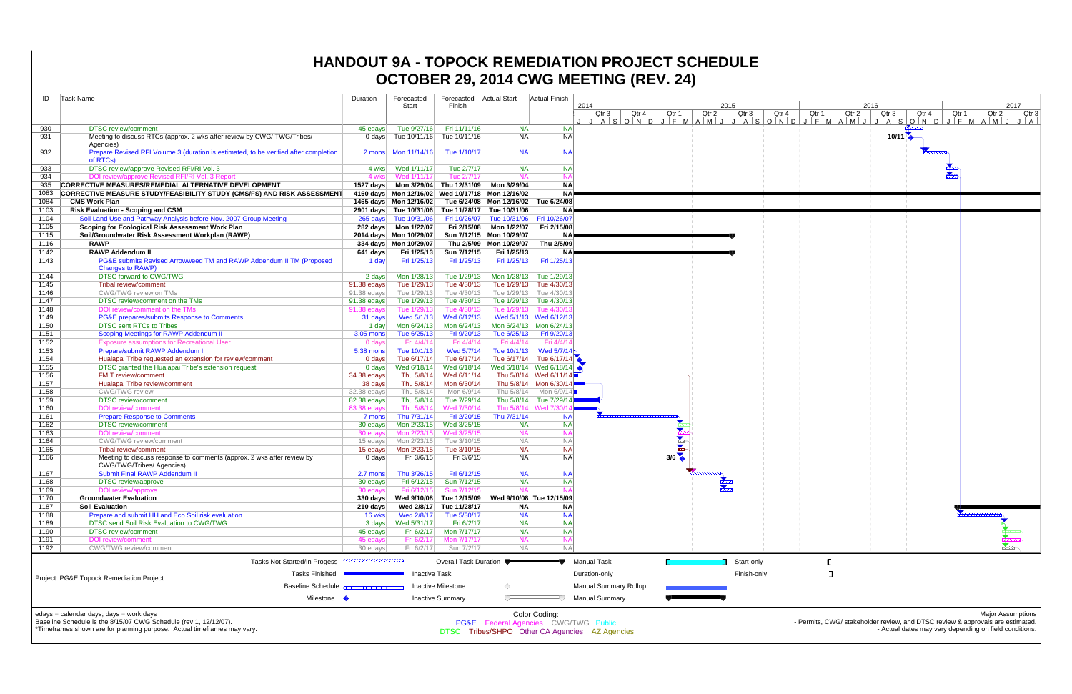| ID   | Task Name                                                                                                   | Duration                   | Forecasted<br>Start     | Forecasted<br>Finish                                | <b>Actual Start</b>      | <b>Actual Finish</b>     | 2014                                                                |              | 2015        |             |     |
|------|-------------------------------------------------------------------------------------------------------------|----------------------------|-------------------------|-----------------------------------------------------|--------------------------|--------------------------|---------------------------------------------------------------------|--------------|-------------|-------------|-----|
|      |                                                                                                             |                            |                         |                                                     |                          |                          | Qtr 3<br>Qtr 4                                                      | Qtr 1        | Qtr 2       | Qtr 3       | Qtr |
| 930  | <b>DTSC</b> review/comment                                                                                  | 45 edays                   | Tue 9/27/16             | Fri 11/11/16                                        | <b>NA</b>                | <b>NA</b>                | $J   A   S   O   N   D   J   F   M   A   M   J   J   A   S   O   N$ |              |             |             |     |
| 931  | Meeting to discuss RTCs (approx. 2 wks after review by CWG/TWG/Tribes/<br>Agencies)                         | 0 days                     | Tue 10/11/16            | Tue 10/11/16                                        | <b>NA</b>                | <b>NA</b>                |                                                                     |              |             |             |     |
| 932  | Prepare Revised RFI Volume 3 (duration is estimated, to be verified after completion<br>of RTCs)            | 2 mons                     | Mon 11/14/16            | Tue 1/10/17                                         | <b>NA</b>                | <b>NA</b>                |                                                                     |              |             |             |     |
| 933  | DTSC review/approve Revised RFI/RI Vol. 3                                                                   | 4 wks                      | Wed 1/11/17             | Tue 2/7/17                                          | <b>NA</b>                | <b>NA</b>                |                                                                     |              |             |             |     |
| 934  | DOI review/approve Revised RFI/RI Vol. 3 Report                                                             | 4 wks                      | Wed 1/11/17             | Tue 2/7/17                                          | <b>NA</b>                | <b>NA</b>                |                                                                     |              |             |             |     |
| 935  | <b>CORRECTIVE MEASURES/REMEDIAL ALTERNATIVE DEVELOPMENT</b>                                                 | 1527 days                  | Mon 3/29/04             | Thu 12/31/09                                        | Mon 3/29/04              | <b>NA</b>                |                                                                     |              |             |             |     |
| 1083 | <b>CORRECTIVE MEASURE STUDY/FEASIBILITY STUDY (CMS/FS) AND RISK ASSESSMENT</b>                              |                            |                         | 4160 days  Mon 12/16/02  Wed 10/17/18  Mon 12/16/02 |                          | <b>NA</b>                |                                                                     |              |             |             |     |
| 1084 | <b>CMS Work Plan</b>                                                                                        |                            | 1465 days Mon 12/16/02  |                                                     | Tue 6/24/08 Mon 12/16/02 | Tue 6/24/08              |                                                                     |              |             |             |     |
| 1103 | <b>Risk Evaluation - Scoping and CSM</b>                                                                    |                            | 2901 days Tue 10/31/06  | Tue 11/28/17                                        | Tue 10/31/06             | <b>NA</b>                |                                                                     |              |             |             |     |
| 1104 | Soil Land Use and Pathway Analysis before Nov. 2007 Group Meeting                                           |                            | 265 days Tue 10/31/06   | Fri 10/26/07                                        | Tue 10/31/06             | Fri 10/26/07             |                                                                     |              |             |             |     |
| 1105 | Scoping for Ecological Risk Assessment Work Plan                                                            | 282 days                   | Mon 1/22/07             | Fri 2/15/08                                         | Mon 1/22/07              | Fri 2/15/08              |                                                                     |              |             |             |     |
| 1115 | Soil/Groundwater Risk Assessment Workplan (RAWP)                                                            |                            | 2014 days  Mon 10/29/07 |                                                     | Sun 7/12/15 Mon 10/29/07 | <b>NA</b>                |                                                                     |              |             |             |     |
| 1116 | <b>RAWP</b>                                                                                                 |                            | 334 days Mon 10/29/07   |                                                     | Thu 2/5/09 Mon 10/29/07  | Thu 2/5/09               |                                                                     |              |             |             |     |
| 1142 | <b>RAWP Addendum II</b>                                                                                     | 641 days                   | Fri 1/25/13             | Sun 7/12/15                                         | Fri 1/25/13              | <b>NA</b>                |                                                                     |              |             |             |     |
| 1143 | PG&E submits Revised Arrowweed TM and RAWP Addendum II TM (Proposed<br>Changes to RAWP)                     | 1 day                      | Fri 1/25/13             | Fri 1/25/13                                         | Fri 1/25/13              | Fri 1/25/13              |                                                                     |              |             |             |     |
| 1144 | DTSC forward to CWG/TWG                                                                                     | 2 days                     | Mon 1/28/13             | Tue 1/29/13                                         | Mon 1/28/13              | Tue 1/29/13              |                                                                     |              |             |             |     |
| 1145 | Tribal review/comment                                                                                       | 91.38 edays                | Tue 1/29/13             | Tue 4/30/13                                         | Tue 1/29/13              | Tue 4/30/13              |                                                                     |              |             |             |     |
| 1146 | CWG/TWG review on TMs                                                                                       | 91.38 edays                | Tue 1/29/13             | Tue 4/30/13                                         | Tue 1/29/13              | Tue 4/30/13              |                                                                     |              |             |             |     |
| 1147 | DTSC review/comment on the TMs                                                                              | 91.38 edays                | Tue 1/29/13             | Tue 4/30/13                                         | Tue 1/29/13              | Tue 4/30/13              |                                                                     |              |             |             |     |
| 1148 | DOI review/comment on the TMs                                                                               | 91.38 edays                | Tue 1/29/13             | Tue 4/30/13                                         | Tue 1/29/13              | Tue 4/30/1:              |                                                                     |              |             |             |     |
| 1149 | PG&E prepares/submits Response to Comments                                                                  | 31 days                    | Wed 5/1/13              | Wed 6/12/13                                         |                          | Wed 5/1/13 Wed 6/12/13   |                                                                     |              |             |             |     |
| 1150 | <b>DTSC sent RTCs to Tribes</b>                                                                             | 1 day                      | Mon 6/24/13             | Mon 6/24/13                                         |                          | Mon 6/24/13 Mon 6/24/13  |                                                                     |              |             |             |     |
| 1151 | Scoping Meetings for RAWP Addendum II                                                                       | 3.05 mons                  | Tue 6/25/13             | Fri 9/20/13                                         | Tue 6/25/13              | Fri 9/20/13              |                                                                     |              |             |             |     |
| 1152 | <b>Exposure assumptions for Recreational User</b>                                                           | 0 days                     | Fri 4/4/14              | Fri 4/4/14                                          | Fri 4/4/14               | Fri 4/4/14               |                                                                     |              |             |             |     |
| 1153 | Prepare/submit RAWP Addendum II                                                                             | 5.38 mons                  | Tue 10/1/13             | Wed 5/7/14                                          | Tue 10/1/13              | Wed $5/7/14$             |                                                                     |              |             |             |     |
| 1154 | Hualapai Tribe requested an extension for review/comment                                                    | $0$ days                   | Tue 6/17/14             | Tue 6/17/14                                         | Tue 6/17/14              | Tue 6/17/14              |                                                                     |              |             |             |     |
| 1155 | DTSC granted the Hualapai Tribe's extension request                                                         | $0$ days                   | Wed 6/18/14             | Wed 6/18/14                                         |                          | Wed 6/18/14 Wed 6/18/14  | $\bullet$                                                           |              |             |             |     |
| 1156 | <b>FMIT review/comment</b>                                                                                  | 34.38 edays                | Thu 5/8/14              | Wed 6/11/14                                         |                          | Thu 5/8/14 Wed 6/11/14   |                                                                     |              |             |             |     |
| 1157 | Hualapai Tribe review/comment                                                                               | 38 days                    | Thu 5/8/14              | Mon 6/30/14                                         |                          | Thu 5/8/14 Mon 6/30/14   |                                                                     |              |             |             |     |
| 1158 | <b>CWG/TWG</b> review                                                                                       |                            | Thu 5/8/14              | Mon 6/9/14                                          | Thu 5/8/14               | Mon 6/9/14               |                                                                     |              |             |             |     |
| 1159 | <b>DTSC</b> review/comment                                                                                  |                            | Thu 5/8/14              | Tue 7/29/14                                         | Thu 5/8/14               | Tue 7/29/14              |                                                                     |              |             |             |     |
| 1160 | <b>DOI</b> review/comment                                                                                   | 82.38 edays<br>83.38 edays | Thu 5/8/14              | Wed 7/30/14                                         |                          | Thu 5/8/14 Wed 7/30/1    |                                                                     |              |             |             |     |
| 1161 | <b>Prepare Response to Comments</b>                                                                         | 7 mons                     | Thu 7/31/14             | Fri 2/20/15                                         | Thu 7/31/14              | <b>NA</b>                |                                                                     |              |             |             |     |
| 1162 | <b>DTSC</b> review/comment                                                                                  | 30 edays                   | Mon 2/23/15             | Wed 3/25/15                                         | <b>NA</b>                | <b>NA</b>                |                                                                     |              |             |             |     |
| 1163 | <b>DOI</b> review/comment                                                                                   | 30 edays                   | Mon 2/23/15             | Wed 3/25/15                                         | <b>NA</b>                | <b>NA</b>                |                                                                     |              |             |             |     |
| 1164 | <b>CWG/TWG</b> review/comment                                                                               | 15 edays                   | Mon 2/23/15             | Tue 3/10/15                                         | <b>NA</b>                | <b>NA</b>                |                                                                     | <b>RANGE</b> |             |             |     |
| 1165 | Tribal review/comment                                                                                       | 15 edays                   | Mon 2/23/15             | Tue 3/10/15                                         | <b>NA</b>                | <b>NA</b>                |                                                                     |              |             |             |     |
| 1166 | Meeting to discuss response to comments (approx. 2 wks after review by<br>CWG/TWG/Tribes/ Agencies)         | 0 days                     | Fri 3/6/15              | Fri 3/6/15                                          | <b>NA</b>                | <b>NA</b>                |                                                                     | 3/6          |             |             |     |
| 1167 | Submit Final RAWP Addendum II                                                                               | 2.7 mons                   | Thu 3/26/15             | Fri 6/12/15                                         | <b>NA</b>                | <b>NA</b>                |                                                                     |              |             |             |     |
| 1168 | DTSC review/approve                                                                                         | 30 edays                   | Fri 6/12/15             | Sun 7/12/15                                         | <b>NA</b>                | <b>NA</b>                |                                                                     |              |             |             |     |
| 1169 | DOI review/approve                                                                                          | 30 edays                   | Fri 6/12/15             | Sun 7/12/15                                         | <b>NA</b>                | <b>NA</b>                |                                                                     |              | <u>etan</u> |             |     |
| 1170 | <b>Groundwater Evaluation</b>                                                                               | $330$ days                 | Wed 9/10/08             | Tue 12/15/09                                        |                          | Wed 9/10/08 Tue 12/15/09 |                                                                     |              |             |             |     |
| 1187 | <b>Soil Evaluation</b>                                                                                      | 210 days                   | Wed 2/8/17              | Tue 11/28/17                                        | ΝA                       | <b>NA</b>                |                                                                     |              |             |             |     |
| 1188 | Prepare and submit HH and Eco Soil risk evaluation                                                          | 16 wks                     | Wed 2/8/17              | Tue 5/30/17                                         | <b>NA</b>                | <b>NA</b>                |                                                                     |              |             |             |     |
| 1189 | DTSC send Soil Risk Evaluation to CWG/TWG                                                                   | 3 days                     | Wed 5/31/17             | Fri 6/2/17                                          | <b>NA</b>                | <b>NA</b>                |                                                                     |              |             |             |     |
| 1190 | <b>DTSC</b> review/comment                                                                                  | 45 edays                   | Fri 6/2/17              | Mon 7/17/17                                         | <b>NA</b>                | <b>NA</b>                |                                                                     |              |             |             |     |
| 1191 | <b>DOI</b> review/comment                                                                                   | 45 edays                   | Fri 6/2/17              | Mon 7/17/17                                         | <b>NA</b>                | <b>NA</b>                |                                                                     |              |             |             |     |
| 1192 | CWG/TWG review/comment                                                                                      | 30 edays                   | Fri 6/2/17              | Sun 7/2/17                                          | <b>NA</b>                | <b>NA</b>                |                                                                     |              |             |             |     |
|      | Tasks Not Started/In Progess                                                                                |                            |                         | Overall Task Duration                               |                          |                          | <b>Manual Task</b>                                                  |              |             | Start-only  |     |
|      | <b>Tasks Finished</b>                                                                                       |                            | <b>Inactive Task</b>    |                                                     |                          |                          | Duration-only                                                       |              |             | Finish-only |     |
|      | Project: PG&E Topock Remediation Project<br>Baseline Schedule                                               |                            |                         | <b>Inactive Milestone</b>                           | ◇                        |                          | <b>Manual Summary Rollup</b>                                        |              |             |             |     |
|      | Milestone •                                                                                                 |                            |                         | <b>Inactive Summary</b>                             | ᅮ                        |                          | <b>Manual Summary</b>                                               |              |             |             |     |
|      |                                                                                                             |                            |                         |                                                     |                          |                          |                                                                     |              |             |             |     |
|      | edays = calendar days; days = work days<br>Baseline Schedule is the 8/15/07 CWG Schedule (rev 1, 12/12/07). |                            |                         |                                                     |                          | Color Coding:            | <b>PG&amp;F</b> Federal Agencies CWG/TWG Public                     |              |             |             |     |

# **HANDOUT 9A - TOPOCK REMEDIATION PROJECT SCHEDULE OCTOBER 29, 2014 CWG MEETING (REV. 24)**



\*Timeframes shown are for planning purpose. Actual timeframes may vary.

PG&E Federal Agencies CWG/TWG Public DTSC Tribes/SHPO Other CA Agencies AZ Agencies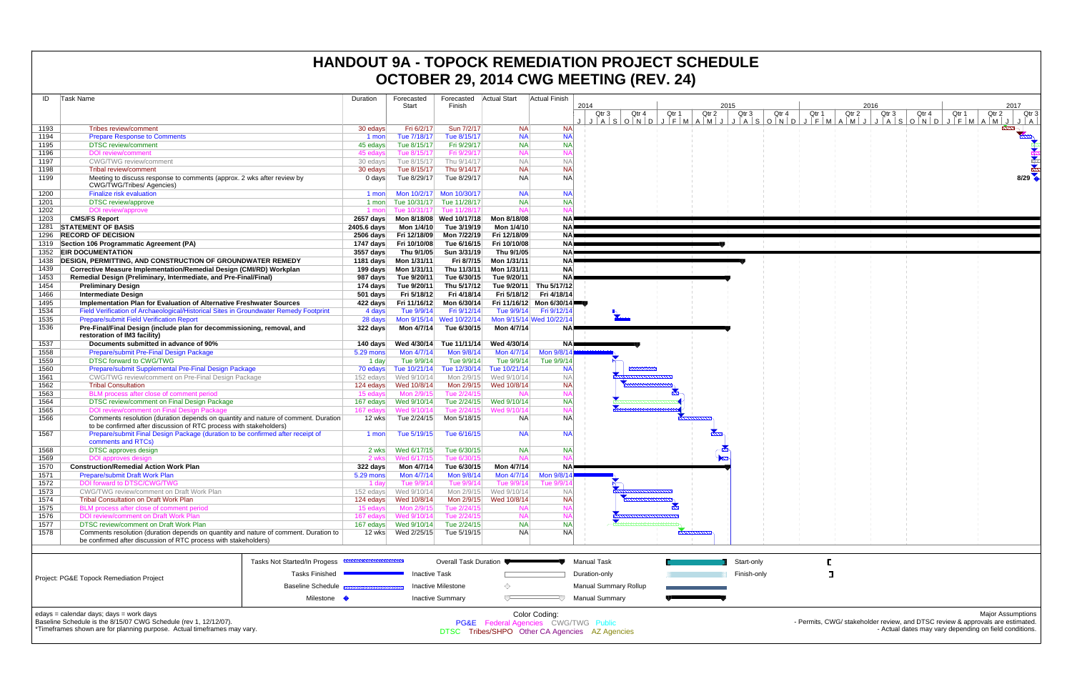| ID   | Task Name                                                                             |                                                     | Duration    | Forecasted           | Forecasted                   | <b>Actual Start</b> | <b>Actual Finish</b>     |                                                                                       |              |       |              |
|------|---------------------------------------------------------------------------------------|-----------------------------------------------------|-------------|----------------------|------------------------------|---------------------|--------------------------|---------------------------------------------------------------------------------------|--------------|-------|--------------|
|      |                                                                                       |                                                     |             | Start                | Finish                       |                     |                          | 2014                                                                                  |              |       | 2015         |
|      |                                                                                       |                                                     |             |                      |                              |                     |                          | Qtr 3<br>Qtr 4<br>$J   A   S   O   N   D   J   F   M   A   M   J   J   A   S   O   N$ | Qtr 1        | Qtr 2 | Qtr 3<br>Qtr |
| 1193 | Tribes review/comment                                                                 |                                                     | 30 edays    | Fri 6/2/17           | Sun 7/2/17                   | <b>NA</b>           | <b>NA</b>                |                                                                                       |              |       |              |
| 1194 | <b>Prepare Response to Comments</b>                                                   |                                                     | 1 mon       | Tue 7/18/17          | Tue 8/15/17                  | <b>NA</b>           | <b>NA</b>                |                                                                                       |              |       |              |
| 1195 | <b>DTSC</b> review/comment                                                            |                                                     | 45 edays    | Tue 8/15/17          | Fri 9/29/17                  | <b>NA</b>           | <b>NA</b>                |                                                                                       |              |       |              |
| 1196 | <b>DOI</b> review/comment                                                             |                                                     | 45 edays    | Tue 8/15/17          | Fri 9/29/17                  | <b>NA</b>           | <b>NA</b>                |                                                                                       |              |       |              |
| 1197 | <b>CWG/TWG</b> review/comment                                                         |                                                     | 30 edays    | Tue 8/15/17          | Thu 9/14/17                  | <b>NA</b>           | <b>NA</b>                |                                                                                       |              |       |              |
| 1198 | Tribal review/comment                                                                 |                                                     | 30 edays    | Tue 8/15/17          | Thu 9/14/17                  | <b>NA</b>           | <b>NA</b>                |                                                                                       |              |       |              |
| 1199 | Meeting to discuss response to comments (approx. 2 wks after review by                |                                                     | $0$ days    | Tue 8/29/17          | Tue 8/29/17                  | <b>NA</b>           | <b>NA</b>                |                                                                                       |              |       |              |
|      | CWG/TWG/Tribes/ Agencies)                                                             |                                                     |             |                      |                              |                     |                          |                                                                                       |              |       |              |
| 1200 | <b>Finalize risk evaluation</b>                                                       |                                                     | 1 mon       | Mon 10/2/17          | Mon 10/30/17                 | <b>NA</b>           | <b>NA</b>                |                                                                                       |              |       |              |
| 1201 | <b>DTSC</b> review/approve                                                            |                                                     | 1 mon       | Tue 10/31/17         | Tue 11/28/17                 | <b>NA</b>           | <b>NA</b>                |                                                                                       |              |       |              |
| 1202 | DOI review/approve                                                                    |                                                     | 1 mon       | Tue 10/31/17         | Tue 11/28/17                 | <b>NA</b>           | <b>NA</b>                |                                                                                       |              |       |              |
| 1203 | <b>CMS/FS Report</b>                                                                  |                                                     | 2657 days   |                      | Mon 8/18/08 Wed 10/17/18     | Mon 8/18/08         | <b>NA</b>                |                                                                                       |              |       |              |
| 1281 | <b>STATEMENT OF BASIS</b>                                                             |                                                     | 2405.6 days | Mon 1/4/10           | Tue 3/19/19                  | Mon 1/4/10          | <b>NA</b>                |                                                                                       |              |       |              |
| 1296 | <b>RECORD OF DECISION</b>                                                             |                                                     | $2506$ days | Fri 12/18/09         | Mon 7/22/19                  | Fri 12/18/09        | <b>NA</b>                |                                                                                       |              |       |              |
| 1319 | Section 106 Programmatic Agreement (PA)                                               |                                                     | 1747 days   | Fri 10/10/08         | Tue 6/16/15                  | Fri 10/10/08        | <b>NA</b>                |                                                                                       |              |       |              |
| 1352 | <b>EIR DOCUMENTATION</b>                                                              |                                                     | 3557 days   | Thu 9/1/05           | Sun 3/31/19                  | Thu 9/1/05          | <b>NA</b>                |                                                                                       |              |       |              |
| 1438 | DESIGN, PERMITTING, AND CONSTRUCTION OF GROUNDWATER REMEDY                            |                                                     | 1181 days   | Mon 1/31/11          | Fri 8/7/15                   | Mon 1/31/11         | <b>NA</b>                |                                                                                       |              |       |              |
| 1439 | Corrective Measure Implementation/Remedial Design (CMI/RD) Workplan                   |                                                     | 199 days    | Mon 1/31/11          | Thu 11/3/11                  | Mon 1/31/11         | <b>NA</b>                |                                                                                       |              |       |              |
| 1453 | Remedial Design (Preliminary, Intermediate, and Pre-Final/Final)                      |                                                     | 987 days    | Tue 9/20/11          | Tue 6/30/15                  | Tue 9/20/11         | <b>NA</b>                |                                                                                       |              |       |              |
| 1454 | <b>Preliminary Design</b>                                                             |                                                     | 174 days    | Tue 9/20/11          | Thu 5/17/12                  | Tue 9/20/11         | Thu 5/17/12              |                                                                                       |              |       |              |
| 1466 | <b>Intermediate Design</b>                                                            |                                                     | $501$ days  | Fri 5/18/12          | Fri 4/18/14                  | Fri 5/18/12         | Fri 4/18/14              |                                                                                       |              |       |              |
| 1495 | Implementation Plan for Evaluation of Alternative Freshwater Sources                  |                                                     | 422 days    | Fri 11/16/12         | Mon 6/30/14                  |                     | Fri 11/16/12 Mon 6/30/14 |                                                                                       |              |       |              |
| 1534 | Field Verification of Archaeological/Historical Sites in Groundwater Remedy Footprint |                                                     | 4 days      | Tue 9/9/14           | Fri 9/12/14                  | Tue 9/9/14          | Fri 9/12/14              |                                                                                       |              |       |              |
| 1535 | <b>Prepare/submit Field Verification Report</b>                                       |                                                     | 28 days     | Mon 9/15/14          | Wed 10/22/14                 |                     | Mon 9/15/14 Wed 10/22/14 |                                                                                       |              |       |              |
| 1536 | Pre-Final/Final Design (include plan for decommissioning, removal, and                |                                                     | 322 days    | Mon 4/7/14           | Tue 6/30/15                  | Mon 4/7/14          | <b>NA</b>                |                                                                                       |              |       |              |
|      | restoration of IM3 facility)                                                          |                                                     |             |                      |                              |                     |                          |                                                                                       |              |       |              |
| 1537 | Documents submitted in advance of 90%                                                 |                                                     | 140 days    | Wed 4/30/14          | Tue 11/11/14                 | Wed 4/30/14         | <b>NA</b>                |                                                                                       |              |       |              |
| 1558 | Prepare/submit Pre-Final Design Package                                               |                                                     | 5.29 mons   | Mon 4/7/14           | Mon 9/8/14                   | Mon 4/7/14          | Mon 9/8/14               |                                                                                       |              |       |              |
| 1559 | <b>DTSC forward to CWG/TWG</b>                                                        |                                                     | 1 day       | Tue 9/9/14           | Tue 9/9/14                   | Tue 9/9/14          | Tue 9/9/14               |                                                                                       |              |       |              |
| 1560 | Prepare/submit Supplemental Pre-Final Design Package                                  |                                                     | 70 edays    | Tue 10/21/14         | Tue 12/30/14                 | Tue 10/21/14        | <b>NA</b>                | $\frac{1}{2}$                                                                         |              |       |              |
| 1561 | CWG/TWG review/comment on Pre-Final Design Package                                    |                                                     | 152 edays   | Wed 9/10/14          | Mon 2/9/15                   | Wed 9/10/14         | <b>NA</b>                |                                                                                       |              |       |              |
| 1562 | <b>Tribal Consultation</b>                                                            |                                                     | 124 edays   | Wed 10/8/14          | Mon 2/9/15                   | Wed 10/8/14         | <b>NA</b>                |                                                                                       |              |       |              |
| 1563 | BLM process after close of comment period                                             |                                                     | 15 edays    | Mon 2/9/15           | Tue 2/24/15                  | <b>NA</b>           | <b>NA</b>                |                                                                                       |              |       |              |
| 1564 | DTSC review/comment on Final Design Package                                           |                                                     | 167 edays   | Wed 9/10/14          | Tue 2/24/15                  | Wed 9/10/14         | <b>NA</b>                |                                                                                       |              |       |              |
| 1565 | DOI review/comment on Final Design Package                                            |                                                     | 167 edays   | Wed 9/10/14          | Tue 2/24/15                  | Wed 9/10/14         | <b>NA</b>                |                                                                                       |              |       |              |
| 1566 | Comments resolution (duration depends on quantity and nature of comment. Duration     |                                                     | 12 wks      | Tue 2/24/15          | Mon 5/18/15                  | NA.                 | <b>NA</b>                |                                                                                       |              |       |              |
|      | to be confirmed after discussion of RTC process with stakeholders)                    |                                                     |             |                      |                              |                     |                          |                                                                                       |              |       |              |
| 1567 | Prepare/submit Final Design Package (duration to be confirmed after receipt of        |                                                     | 1 mon       | Tue 5/19/15          | Tue 6/16/15                  | <b>NA</b>           | <b>NA</b>                |                                                                                       |              |       |              |
|      | comments and RTCs)                                                                    |                                                     |             |                      |                              |                     |                          |                                                                                       |              |       |              |
| 1568 | DTSC approves design                                                                  |                                                     | 2 wks       | Wed 6/17/15          | Tue 6/30/15                  | <b>NA</b>           | <b>NA</b>                |                                                                                       |              |       |              |
| 1569 | DOI approves design                                                                   |                                                     | 2 wks       | Wed 6/17/15          | Tue 6/30/15                  | <b>NA</b>           | <b>NA</b>                |                                                                                       |              |       |              |
| 1570 | <b>Construction/Remedial Action Work Plan</b>                                         |                                                     | 322 days    | Mon 4/7/14           | Tue 6/30/15                  | Mon 4/7/14          | <b>NA</b>                |                                                                                       |              |       |              |
| 1571 | <b>Prepare/submit Draft Work Plan</b>                                                 |                                                     | 5.29 mons   | Mon 4/7/14           | Mon 9/8/14                   | Mon 4/7/14          | Mon 9/8/14               |                                                                                       |              |       |              |
| 1572 | DOI forward to DTSC/CW                                                                |                                                     | 1 day       | Tue $9/9/14$         | Tue 9/9/14                   | Tue 9/9/1           | Tue 9/9                  |                                                                                       |              |       |              |
| 1573 | CWG/TWG review/comment on Draft Work Plan                                             |                                                     | 152 edays   | Wed 9/10/14          | Mon 2/9/15                   | Wed 9/10/14         | <b>NA</b>                |                                                                                       |              |       |              |
| 1574 | <b>Tribal Consultation on Draft Work Plan</b>                                         |                                                     | 124 edays   | Wed 10/8/14          | Mon 2/9/15                   | Wed 10/8/14         | <b>NA</b>                |                                                                                       |              |       |              |
| 1575 | BLM process after close of comment period                                             |                                                     | 15 edays    | Mon 2/9/15           | Tue 2/24/15                  | <b>NA</b>           | <b>NA</b>                |                                                                                       | $\mathbf{r}$ |       |              |
| 1576 | DOI review/comment on Draft Work Plan                                                 |                                                     | 167 edays   | Wed 9/10/14          | Tue 2/24/15                  | <b>NA</b>           | <b>NA</b>                |                                                                                       |              |       |              |
| 1577 | DTSC review/comment on Draft Work Plan                                                |                                                     | 167 edays   | Wed 9/10/14          | Tue 2/24/15                  | <b>NA</b>           | <b>NA</b>                |                                                                                       |              |       |              |
| 1578 | Comments resolution (duration depends on quantity and nature of comment. Duration to  |                                                     | 12 wks      | Wed 2/25/15          | Tue 5/19/15                  | <b>NA</b>           | N <sub>A</sub>           |                                                                                       |              |       |              |
|      | be confirmed after discussion of RTC process with stakeholders)                       |                                                     |             |                      |                              |                     |                          |                                                                                       |              |       |              |
|      |                                                                                       |                                                     |             |                      |                              |                     |                          |                                                                                       |              |       |              |
|      |                                                                                       | Tasks Not Started/In Progess <b>EXAMPLE DETAILS</b> |             |                      | <b>Overall Task Duration</b> |                     |                          | <b>Manual Task</b>                                                                    |              |       | Start-only   |
|      |                                                                                       |                                                     |             |                      |                              |                     |                          |                                                                                       |              |       |              |
|      | Project: PG&E Topock Remediation Project                                              | Tasks Finished                                      |             | <b>Inactive Task</b> |                              |                     |                          | Duration-only                                                                         |              |       | Finish-only  |
|      |                                                                                       | <b>Baseline Schedule</b>                            |             | Inactive Milestone   | ◇                            |                     | Manual Summary Rollup    |                                                                                       |              |       |              |

Milestone

 $\Box$ 

Color Coding:<br>PG&E Federal Agencies CWG/TWG Public<br>DTSC Tribes/SHPO Other CA Agencies AZ Agencies

**Wanual Summary** 

Inactive Summary

### **HANDOUT 9A - TOPOCK REMEDIATION PROJECT SCHEDULE OCTOBER 29, 2014 CWG MEETING (REV. 24)**

edays = calendar days; days = work days



Baseline Schedule is the 8/15/07 CWG Schedule (rev 1, 12/12/07).

\*Timeframes shown are for planning purpose. Actual timeframes may vary.